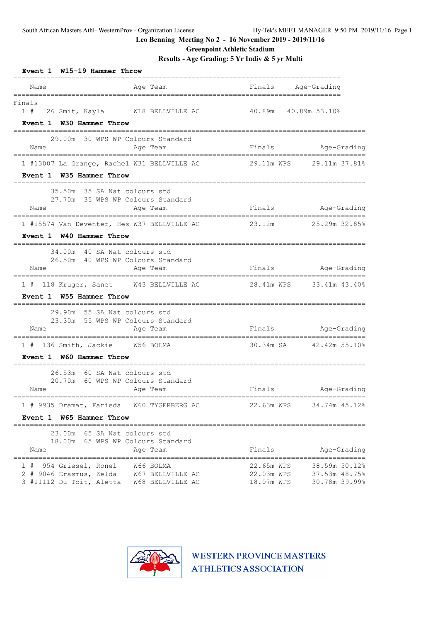**Greenpoint Athletic Stadium**

**Results - Age Grading: 5 Yr Indiv & 5 yr Multi**

| Event 1 W15-19 Hammer Throw                                           |                                                                               |                                        |                                                 |
|-----------------------------------------------------------------------|-------------------------------------------------------------------------------|----------------------------------------|-------------------------------------------------|
| Name                                                                  | Age Team                                                                      | Finals Age-Grading                     |                                                 |
| ===============================<br>Finals<br>Event 1 W30 Hammer Throw | __________________________<br>1 # 26 Smit, Kayla W18 BELLVILLE AC             | 40.89m                                 | 40.89m 53.10%                                   |
| Name<br>======================                                        | 29.00m 30 WPS WP Colours Standard<br>Age Team                                 | Finals                                 | Age-Grading                                     |
| Event 1 W35 Hammer Throw                                              | 1 #13007 La Grange, Rachel W31 BELLVILLE AC 29.11m WPS 29.11m 37.81%          |                                        |                                                 |
| Name                                                                  | 35.50m 35 SA Nat colours std<br>27.70m 35 WPS WP Colours Standard<br>Age Team |                                        | Finals Age-Grading                              |
| Event 1 W40 Hammer Throw                                              | 1 #15574 Van Deventer, Hes W37 BELLVILLE AC                                   | 23.12m 25.29m 32.85%                   |                                                 |
| Name                                                                  | 34.00m 40 SA Nat colours std<br>26.50m 40 WPS WP Colours Standard<br>Age Team | Finals                                 | Age-Grading                                     |
| Event 1 W55 Hammer Throw                                              | 1 # 118 Kruger, Sanet M43 BELLVILLE AC                                        |                                        | 28.41m WPS 33.41m 43.40%                        |
| Name                                                                  | 29.90m 55 SA Nat colours std<br>23.30m 55 WPS WP Colours Standard<br>Age Team | Finals                                 | Age-Grading                                     |
| 1 # 136 Smith, Jackie W56 BOLMA<br>Event 1 W60 Hammer Throw           |                                                                               |                                        | 30.34m SA 42.42m 55.10%                         |
| Name                                                                  | 26.53m 60 SA Nat colours std<br>20.70m 60 WPS WP Colours Standard<br>Age Team | Finals                                 | Age-Grading<br>----------------                 |
| Event 1 W65 Hammer Throw                                              | 1 # 9935 Dramat, Farieda W60 TYGERBERG AC                                     | 22.63m WPS                             | 34.74m 45.12%                                   |
| Name                                                                  | 23.00m 65 SA Nat colours std<br>18.00m 65 WPS WP Colours Standard<br>Age Team | Finals                                 | Age-Grading                                     |
| 1 # 954 Griesel, Ronel<br>3 #11112 Du Toit, Aletta                    | W66 BOLMA<br>2 # 9046 Erasmus, Zelda W67 BELLVILLE AC<br>W68 BELLVILLE AC     | 22.65m WPS<br>22.03m WPS<br>18.07m WPS | 38.59m 50.12%<br>37.53m 48.75%<br>30.78m 39.99% |

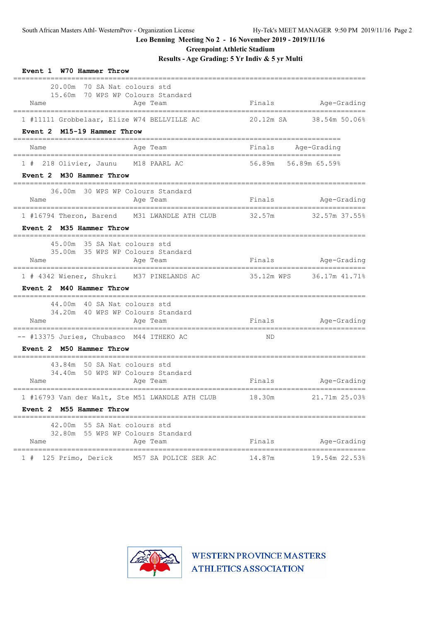**Greenpoint Athletic Stadium**

**Results - Age Grading: 5 Yr Indiv & 5 yr Multi**

| Event 1 W70 Hammer Throw                                                                         |                    |                          |
|--------------------------------------------------------------------------------------------------|--------------------|--------------------------|
| 70 SA Nat colours std<br>20.00m<br>15.60m 70 WPS WP Colours Standard<br>Name<br>Age Team         |                    | Finals Age-Grading       |
| 1 #11111 Grobbelaar, Elize W74 BELLVILLE AC                                                      |                    | 20.12m SA 38.54m 50.06%  |
| Event 2 M15-19 Hammer Throw                                                                      |                    |                          |
| Name<br>Age Team                                                                                 | Finals Age-Grading |                          |
| 1 # 218 Olivier, Jaunu M18 PAARL AC 56.89m 56.89m 65.59%                                         |                    |                          |
| Event 2 M30 Hammer Throw                                                                         |                    |                          |
| 36.00m 30 WPS WP Colours Standard<br>Name<br>Age Team                                            | Finals Age-Grading |                          |
| 1 #16794 Theron, Barend M31 LWANDLE ATH CLUB 32.57m 32.57m 37.55%                                |                    |                          |
| Event 2 M35 Hammer Throw<br>___________                                                          |                    |                          |
| 45.00m 35 SA Nat colours std                                                                     |                    |                          |
| 35.00m 35 WPS WP Colours Standard<br>Aqe Team<br>Name                                            | Finals             | Age-Grading              |
| 1 # 4342 Wiener, Shukri M37 PINELANDS AC                                                         |                    | 35.12m WPS 36.17m 41.71% |
| Event 2 M40 Hammer Throw                                                                         |                    |                          |
| 44.00m 40 SA Nat colours std                                                                     |                    |                          |
| 34.20m 40 WPS WP Colours Standard<br>Age Team<br>Name                                            | Finals Age-Grading |                          |
| -- #13375 Juries, Chubasco M44 ITHEKO AC                                                         | ND                 |                          |
| Event 2 M50 Hammer Throw                                                                         |                    |                          |
| 43.84m 50 SA Nat colours std                                                                     |                    |                          |
| 34.40m 50 WPS WP Colours Standard<br>Name<br>Age Team                                            |                    | Finals Age-Grading       |
| ===================================                                                              |                    |                          |
| 1 #16793 Van der Walt, Ste M51 LWANDLE ATH CLUB 18.30m 21.71m 25.03%<br>Event 2 M55 Hammer Throw |                    |                          |
| 42.00m 55 SA Nat colours std                                                                     |                    |                          |
| 32.80m 55 WPS WP Colours Standard<br>Age Team<br>Name                                            | Finals             | Age-Grading              |
| M57 SA POLICE SER AC<br>125 Primo, Derick                                                        | 14.87m             | 19.54m 22.53%            |

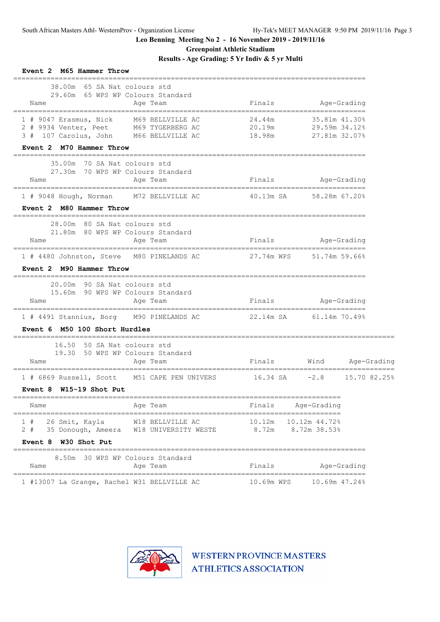**Greenpoint Athletic Stadium**

# **Results - Age Grading: 5 Yr Indiv & 5 yr Multi**

| Event 2 M65 Hammer Throw                                                                                                                                |                            |                                                 |             |  |
|---------------------------------------------------------------------------------------------------------------------------------------------------------|----------------------------|-------------------------------------------------|-------------|--|
| 38.00m 65 SA Nat colours std<br>29.60m 65 WPS WP Colours Standard<br>Name<br>Age Team                                                                   | Finals                     | Age-Grading                                     |             |  |
| 1 # 9047 Erasmus, Nick M69 BELLVILLE AC<br>2 # 9934 Venter, Peet M69 TYGERBERG AC<br>3 # 107 Carolus, John M66 BELLVILLE AC<br>Event 2 M70 Hammer Throw | 24.44m<br>20.19m<br>18.98m | 35.81m 41.30%<br>29.59m 34.12%<br>27.81m 32.07% |             |  |
| 35.00m 70 SA Nat colours std<br>27.30m 70 WPS WP Colours Standard<br>Age Team<br>Name                                                                   | Finals Age-Grading         |                                                 |             |  |
| 1 # 9048 Hough, Norman M72 BELLVILLE AC<br>Event 2 M80 Hammer Throw                                                                                     | 40.13m SA 58.28m 67.20%    |                                                 |             |  |
| 28.00m 80 SA Nat colours std<br>21.80m 80 WPS WP Colours Standard<br>Name<br>Age Team                                                                   | Finals                     | Age-Grading                                     |             |  |
| 1 # 4480 Johnston, Steve M80 PINELANDS AC 27.74m WPS 51.74m 59.66%<br>Event 2 M90 Hammer Throw                                                          |                            |                                                 |             |  |
| 20.00m 90 SA Nat colours std<br>15.60m 90 WPS WP Colours Standard<br>Name<br>Age Team                                                                   | Finals Age-Grading         |                                                 |             |  |
| 1 # 4491 Stannius, Borg M90 PINELANDS AC 22.14m SA 61.14m 70.49%<br>Event 6 M50 100 Short Hurdles                                                       |                            |                                                 |             |  |
| =================================<br>16.50 50 SA Nat colours std<br>19.30 50 WPS WP Colours Standard<br>Name<br>Age Team                                | Finals Wind Age-Grading    |                                                 |             |  |
| 1 # 6869 Russell, Scott M51 CAPE PEN UNIVERS 16.34 SA -2.8 15.70 82.25%<br>Event 8 W15-19 Shot Put                                                      |                            |                                                 |             |  |
| Name<br>Age Team                                                                                                                                        | Finals                     | Age-Grading                                     |             |  |
| 1#<br>26 Smit, Kayla<br>W18 BELLVILLE AC<br>2#<br>35 Donough, Ameera<br>W18 UNIVERSITY WESTE<br>Event 8 W30 Shot Put                                    | 10.12m<br>8.72m            | 10.12m 44.72%<br>8.72m 38.53%                   |             |  |
| 8.50m 30 WPS WP Colours Standard<br>Name<br>Age Team                                                                                                    | Finals                     |                                                 | Age-Grading |  |
| 1 #13007 La Grange, Rachel W31 BELLVILLE AC                                                                                                             | 10.69m WPS                 | 10.69m 47.24%                                   |             |  |

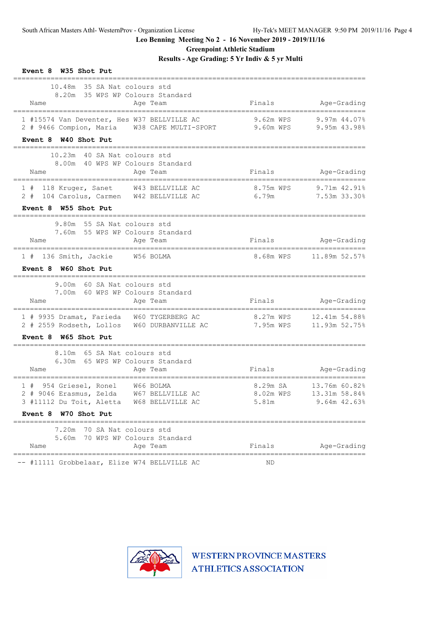**Greenpoint Athletic Stadium**

**Results - Age Grading: 5 Yr Indiv & 5 yr Multi**

| Event 8 W35 Shot Put                                                                                                                                              |                                       |                                |
|-------------------------------------------------------------------------------------------------------------------------------------------------------------------|---------------------------------------|--------------------------------|
| 10.48m 35 SA Nat colours std<br>8.20m 35 WPS WP Colours Standard<br>Name<br>Age Team                                                                              | Finals<br>--------------------------- | Age-Grading                    |
| 1 #15574 Van Deventer, Hes W37 BELLVILLE AC<br>2 # 9466 Compion, Maria W38 CAPE MULTI-SPORT 9.60m WPS                                                             | 9.62m WPS                             | 9.97m 44.07%<br>9.95m 43.98%   |
| Event 8 W40 Shot Put                                                                                                                                              |                                       |                                |
| 10.23m 40 SA Nat colours std<br>8.00m 40 WPS WP Colours Standard                                                                                                  |                                       |                                |
| Age Team<br>Name                                                                                                                                                  | Finals                                | Age-Grading                    |
| 118 Kruger, Sanet W43 BELLVILLE AC<br>1#<br>2 # 104 Carolus, Carmen W42 BELLVILLE AC 6.79m                                                                        | 8.75m WPS                             | $9.71m$ 42.91%<br>7.53m 33.30% |
| Event 8 W55 Shot Put<br>_____________________                                                                                                                     |                                       |                                |
| 9.80m 55 SA Nat colours std<br>7.60m 55 WPS WP Colours Standard<br>Age Team<br>Name                                                                               | Finals                                | Age-Grading                    |
| 1 # 136 Smith, Jackie<br>W56 BOLMA<br>Event 8 W60 Shot Put                                                                                                        | 8.68m WPS                             | 11.89m 52.57%                  |
| 9.00m 60 SA Nat colours std<br>7.00m 60 WPS WP Colours Standard<br>Name<br>Age Team                                                                               | Finals                                | Age-Grading                    |
| ===================================<br>1 # 9935 Dramat, Farieda W60 TYGERBERG AC<br>2 # 2559 Rodseth, Lollos W60 DURBANVILLE AC 7.95m WPS<br>Event 8 W65 Shot Put | 8.27m WPS                             | 12.41m 54.88%<br>11.93m 52.75% |
| 8.10m 65 SA Nat colours std<br>6.30m 65 WPS WP Colours Standard<br>Name<br>Age Team                                                                               | Finals                                | Age-Grading                    |
| 1 # 954 Griesel, Ronel W66 BOLMA                                                                                                                                  | 8.29m SA                              | 13.76m 60.82%                  |
| 2 # 9046 Erasmus, Zelda<br>W67 BELLVILLE AC<br>3 #11112 Du Toit, Aletta<br>W68 BELLVILLE AC                                                                       | 8.02m WPS<br>5.81m                    | 13.31m 58.84%<br>9.64m 42.63%  |
| Event 8 W70 Shot Put                                                                                                                                              |                                       |                                |
| 70 SA Nat colours std<br>7.20m                                                                                                                                    |                                       |                                |
| 5.60m<br>70 WPS WP Colours Standard<br>Name<br>Age Team<br>----------------------                                                                                 | Finals<br>==============              | Age-Grading                    |
| -- #11111 Grobbelaar, Elize W74 BELLVILLE AC                                                                                                                      | ΝD                                    |                                |

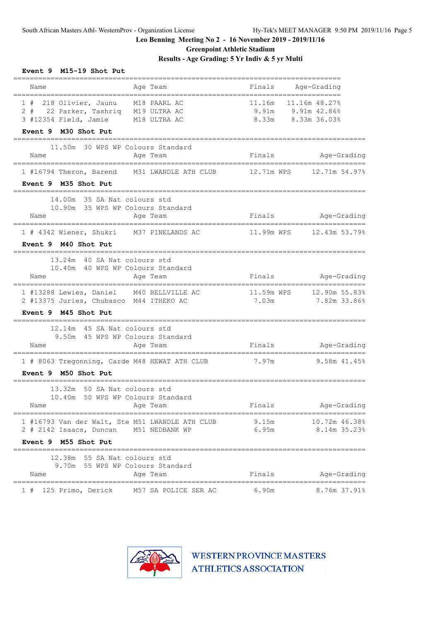**Event 9 M15-19 Shot Put**

**Leo Benning Meeting No 2 - 16 November 2019 - 2019/11/16**

### **Greenpoint Athletic Stadium**

**Results - Age Grading: 5 Yr Indiv & 5 yr Multi**

| Name                                                                                                                                     | =========================<br>Age Team                                                                            | ------------------------------------<br>Finals Age-Grading |                                                |
|------------------------------------------------------------------------------------------------------------------------------------------|------------------------------------------------------------------------------------------------------------------|------------------------------------------------------------|------------------------------------------------|
| 1 # 218 Olivier, Jaunu M18 PAARL AC<br>2 # 22 Parker, Tashriq M19 ULTRA AC<br>3 #12354 Field, Jamie M18 ULTRA AC<br>Event 9 M30 Shot Put |                                                                                                                  | 11.16m<br>$9.91m$ $9.91m$ $42.86\%$<br>8.33m 8.33m 36.03%  | 11.16m 48.27%                                  |
| Name                                                                                                                                     | 11.50m 30 WPS WP Colours Standard<br>Age Team                                                                    |                                                            | Finals Age-Grading                             |
| Event 9 M35 Shot Put                                                                                                                     | 1 #16794 Theron, Barend M31 LWANDLE ATH CLUB 12.71m WPS 12.71m 54.97%                                            |                                                            |                                                |
| 14.00m 35 SA Nat colours std<br>Name                                                                                                     | 10.90m 35 WPS WP Colours Standard<br>Age Team                                                                    |                                                            | Finals Age-Grading                             |
| 1 # 4342 Wiener, Shukri M37 PINELANDS AC<br>Event 9 M40 Shot Put                                                                         |                                                                                                                  |                                                            |                                                |
| 13.24m 40 SA Nat colours std<br>Name                                                                                                     | 10.40m 40 WPS WP Colours Standard<br>Age Team                                                                    | Finals                                                     | Age-Grading                                    |
| 2 #13375 Juries, Chubasco M44 ITHEKO AC<br>Event 9 M45 Shot Put                                                                          | 1 #13288 Lewies, Daniel M40 BELLVILLE AC                                                                         | 7.03m                                                      | 11.59m WPS    12.90m    55.83%<br>7.82m 33.86% |
| 12.14m 45 SA Nat colours std<br>Name                                                                                                     | 9.50m 45 WPS WP Colours Standard<br>Age Team<br>1 # 8063 Tregonning, Carde M48 HEWAT ATH CLUB 7.97m 9.58m 41.45% | Finals Age-Grading                                         |                                                |
| Event 9 M50 Shot Put<br>13.32m 50 SA Nat colours std<br>Name Aqe Team                                                                    | 10.40m 50 WPS WP Colours Standard                                                                                | Finals                                                     | Age-Grading                                    |
| Event 9 M55 Shot Put                                                                                                                     | 1 #16793 Van der Walt, Ste M51 LWANDLE ATH CLUB 9.15m<br>2 # 2142 Isaacs, Duncan M51 NEDBANK WP                  |                                                            | 10.72m 46.38%<br>6.95m 8.14m 35.23%            |
| 12.38m 55 SA Nat colours std<br>Name                                                                                                     | 9.70m 55 WPS WP Colours Standard<br>Age Team                                                                     |                                                            | Finals Age-Grading                             |
|                                                                                                                                          | 1 # 125 Primo, Derick M57 SA POLICE SER AC 6.90m 8.76m 37.91%                                                    |                                                            |                                                |

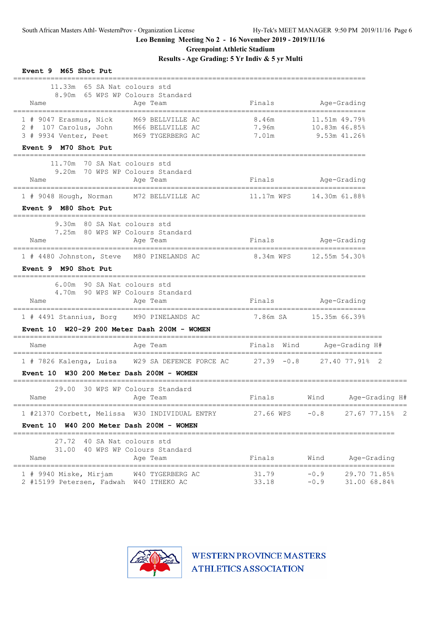**Greenpoint Athletic Stadium**

**Results - Age Grading: 5 Yr Indiv & 5 yr Multi**

| Event 9 M65 Shot Put                                                                                                                                   |                         |                                                |
|--------------------------------------------------------------------------------------------------------------------------------------------------------|-------------------------|------------------------------------------------|
| 11.33m 65 SA Nat colours std<br>8.90m 65 WPS WP Colours Standard<br>Name<br>Age Team                                                                   |                         | Finals Age-Grading                             |
| M69 BELLVILLE AC<br>1 # 9047 Erasmus, Nick<br>2 # 107 Carolus, John M66 BELLVILLE AC<br>3 # 9934 Venter, Peet M69 TYGERBERG AC<br>Event 9 M70 Shot Put | 8.46m<br>7.96m<br>7.01m | 11.51m 49.79%<br>10.83m 46.85%<br>9.53m 41.26% |
| 11.70m 70 SA Nat colours std<br>9.20m 70 WPS WP Colours Standard<br>Age Team<br>Name                                                                   | Finals                  | Age-Grading                                    |
| 1 # 9048 Hough, Norman M72 BELLVILLE AC<br>Event 9 M80 Shot Put                                                                                        |                         |                                                |
| 9.30m 80 SA Nat colours std<br>7.25m 80 WPS WP Colours Standard<br>Age Team<br>Name                                                                    |                         |                                                |
| 1 # 4480 Johnston, Steve M80 PINELANDS AC 8.34m WPS 12.55m 54.30%                                                                                      |                         |                                                |
| Event 9 M90 Shot Put                                                                                                                                   |                         |                                                |
| 6.00m 90 SA Nat colours std<br>4.70m 90 WPS WP Colours Standard<br>Name<br>Age Team                                                                    | Finals Age-Grading      |                                                |
| 1 # 4491 Stannius, Borg M90 PINELANDS AC                                                                                                               | 7.86m SA 15.35m 66.39%  |                                                |
| Event $10$ W20-29 200 Meter Dash 200M - WOMEN                                                                                                          |                         |                                                |
| Age Team<br>Name                                                                                                                                       |                         | Finals Wind Age-Grading H#                     |
| 1 # 7826 Kalenga, Luisa W29 SA DEFENCE FORCE AC 27.39 -0.8 27.40 77.91% 2<br>Event 10 W30 200 Meter Dash 200M - WOMEN                                  |                         |                                                |
| ----------------------------<br>29.00 30 WPS WP Colours Standard<br>Age Team<br>Name                                                                   |                         | Finals Wind Age-Grading H#                     |
| 1 #21370 Corbett, Melissa W30 INDIVIDUAL ENTRY<br>Event 10 W40 200 Meter Dash 200M - WOMEN                                                             | 27.66 WPS               | $-0.8$<br>27.67 77.15% 2                       |
| 27.72 40 SA Nat colours std<br>31.00 40 WPS WP Colours Standard<br>Age Team<br>Name                                                                    | Finals                  | Wind<br>Age-Grading                            |
| 1 # 9940 Miske, Mirjam W40 TYGERBERG AC<br>2 #15199 Petersen, Fadwah W40 ITHEKO AC                                                                     | 31.79<br>33.18          | $-0.9$<br>29.70 71.85%<br>$-0.9$ 31.00 68.84%  |

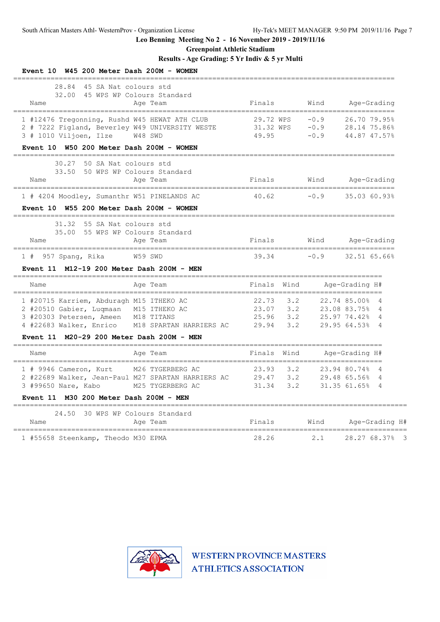**Greenpoint Athletic Stadium**

# **Results - Age Grading: 5 Yr Indiv & 5 yr Multi**

| Event $10$ W45 200 Meter Dash 200M - WOMEN                                                                                                                                                                                      |                                                                  |                            |                                                                                  |
|---------------------------------------------------------------------------------------------------------------------------------------------------------------------------------------------------------------------------------|------------------------------------------------------------------|----------------------------|----------------------------------------------------------------------------------|
| 28.84<br>45 SA Nat colours std<br>32.00<br>45 WPS WP Colours Standard<br>Name<br>Age Team                                                                                                                                       | Finals                                                           | Wind                       | Age-Grading<br>=======================                                           |
| 1 #12476 Tregonning, Rushd W45 HEWAT ATH CLUB<br>2 # 7222 Figland, Beverley W49 UNIVERSITY WESTE<br>3 # 1010 Viljoen, Ilze<br>W48 SWD                                                                                           | 29.72 WPS<br>31.32 WPS<br>49.95                                  | $-0.9$<br>$-0.9$<br>$-0.9$ | 26.70 79.95%<br>28.14 75.86%<br>44.87 47.57%                                     |
| Event 10 W50 200 Meter Dash 200M - WOMEN                                                                                                                                                                                        |                                                                  |                            |                                                                                  |
| 50 SA Nat. colours std<br>30.27<br>33.50<br>50 WPS WP Colours Standard<br>Name<br>Age Team                                                                                                                                      | Finals                                                           | Wind                       | Age-Grading                                                                      |
| 1 # 4204 Moodley, Sumanthr W51 PINELANDS AC                                                                                                                                                                                     | 40.62                                                            | $-0.9$                     | 35.03 60.93%                                                                     |
| Event 10 W55 200 Meter Dash 200M - WOMEN                                                                                                                                                                                        |                                                                  |                            |                                                                                  |
| 31.32<br>55 SA Nat. colours std<br>35.00<br>55 WPS WP Colours Standard<br>Name<br>Age Team<br>_______________________                                                                                                           | Finals                                                           | Wind                       | Age-Grading                                                                      |
| 1 # 957 Spang, Rika<br>W59 SWD<br>Event 11 M12-19 200 Meter Dash 200M - MEN                                                                                                                                                     | 39.34                                                            | $-0.9$                     | 32.51 65.66%                                                                     |
| Age Team<br>Name                                                                                                                                                                                                                | Finals<br>Wind                                                   |                            | Age-Grading H#                                                                   |
| 1 #20715 Karriem, Abduragh M15 ITHEKO AC<br>2 #20510 Gabier, Luqmaan M15 ITHEKO AC<br>3 #20303 Petersen, Ameen<br>M18 TITANS<br>4 #22683 Walker, Enrico<br>M18 SPARTAN HARRIERS AC<br>Event 11 M20-29 200 Meter Dash 200M - MEN | 3.2<br>22.73<br>3.2<br>23.07<br>25.96<br>3.2<br>29.94<br>3.2     |                            | 22.74 85.00%<br>4<br>23.08 83.75%<br>4<br>25.97 74.42%<br>4<br>29.95 64.53%<br>4 |
| Name<br>Age Team                                                                                                                                                                                                                | Finals<br>Wind                                                   |                            | Age-Grading H#                                                                   |
| =================================<br>1 # 9946 Cameron, Kurt<br>M26 TYGERBERG AC<br>2 #22689 Walker, Jean-Paul M27 SPARTAN HARRIERS AC<br>3 #99650 Nare, Kabo<br>M25 TYGERBERG AC<br>Event 11 M30 200 Meter Dash 200M - MEN      | ================<br>3.2<br>23.93<br>3.2<br>29.47<br>31.34<br>3.2 |                            | 23.94 80.74%<br>4<br>29.48 65.56%<br>4<br>31.35 61.65%<br>4                      |
| -------------------------------<br>24.50<br>30 WPS WP Colours Standard<br>Name<br>Age Team                                                                                                                                      | Finals                                                           | Wind                       | Age-Grading H#                                                                   |
| 1 #55658 Steenkamp, Theodo M30 EPMA                                                                                                                                                                                             | 28.26                                                            | 2.1                        | 28.27 68.37%<br>- 3                                                              |

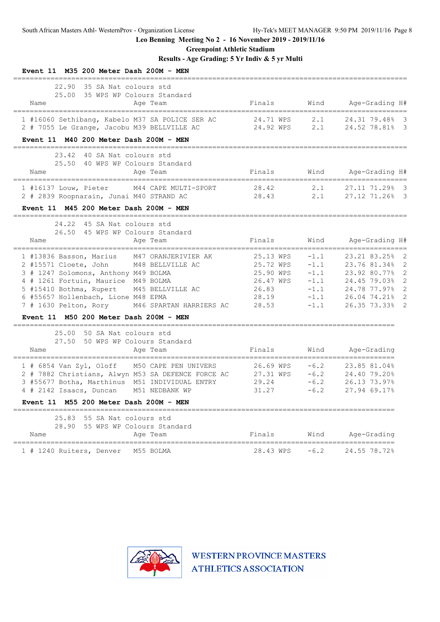**Greenpoint Athletic Stadium**

# **Results - Age Grading: 5 Yr Indiv & 5 yr Multi**

| Event 11 M35 200 Meter Dash 200M - MEN                                                                                                                                                                                                                                                                         |                                                                             |                                                                    |                                                                                                                                                                                                                         |
|----------------------------------------------------------------------------------------------------------------------------------------------------------------------------------------------------------------------------------------------------------------------------------------------------------------|-----------------------------------------------------------------------------|--------------------------------------------------------------------|-------------------------------------------------------------------------------------------------------------------------------------------------------------------------------------------------------------------------|
| 22.90<br>35 SA Nat colours std<br>25.00<br>35 WPS WP Colours Standard<br>Name<br>Age Team<br>---------------------                                                                                                                                                                                             | Finals                                                                      | Wind                                                               | Age-Grading H#                                                                                                                                                                                                          |
| 1 #16060 Sethibang, Kabelo M37 SA POLICE SER AC<br>2 # 7055 Le Grange, Jacobu M39 BELLVILLE AC                                                                                                                                                                                                                 | 24.71 WPS<br>24.92 WPS                                                      | 2.1<br>2.1                                                         | 24.31 79.48%<br>- 3<br>$\overline{\mathbf{3}}$<br>24.52 78.81%                                                                                                                                                          |
| Event 11 M40 200 Meter Dash 200M - MEN                                                                                                                                                                                                                                                                         |                                                                             |                                                                    |                                                                                                                                                                                                                         |
| 23.42<br>40 SA Nat colours std<br>25.50<br>40 WPS WP Colours Standard<br>Name<br>Age Team                                                                                                                                                                                                                      | Finals                                                                      | Wind                                                               | Age-Grading H#                                                                                                                                                                                                          |
| M44 CAPE MULTI-SPORT<br>1 #16137 Louw, Pieter<br>2 # 2839 Roopnarain, Junai M40 STRAND AC                                                                                                                                                                                                                      | 28.42<br>28.43                                                              | 2.1<br>2.1                                                         | 27.11 71.29%<br>- 3<br>27.12 71.26% 3                                                                                                                                                                                   |
| Event 11 M45 200 Meter Dash 200M - MEN                                                                                                                                                                                                                                                                         |                                                                             |                                                                    |                                                                                                                                                                                                                         |
| 24.22 45 SA Nat colours std<br>26.50<br>45 WPS WP Colours Standard<br>Name<br>Age Team                                                                                                                                                                                                                         | Finals                                                                      | Wind                                                               | Age-Grading H#                                                                                                                                                                                                          |
| 1 #13836 Basson, Marius<br>M47 ORANJERIVIER AK<br>2 #15571 Cloete, John<br>M48 BELLVILLE AC<br>3 # 1247 Solomons, Anthony M49 BOLMA<br>4 # 1261 Fortuin, Maurice M49 BOLMA<br>5 #15410 Bothma, Rupert M45 BELLVILLE AC<br>6 #55657 Hollenbach, Lione M48 EPMA<br>7 # 1630 Pelton, Rory M46 SPARTAN HARRIERS AC | 25.13 WPS<br>25.72 WPS<br>25.90 WPS<br>26.47 WPS<br>26.83<br>28.19<br>28.53 | $-1.1$<br>$-1.1$<br>$-1.1$<br>$-1.1$<br>$-1.1$<br>$-1.1$<br>$-1.1$ | ==================================<br>23.21 83.25%<br>2<br>$\overline{2}$<br>23.76 81.34%<br>$\overline{2}$<br>23.92 80.77%<br>24.45 79.03%<br>$\overline{2}$<br>2<br>24.78 77.97%<br>26.04 74.21%<br>2<br>26.35 73.33% |
| Event 11 M50 200 Meter Dash 200M - MEN                                                                                                                                                                                                                                                                         |                                                                             |                                                                    |                                                                                                                                                                                                                         |
| 25.00<br>50 SA Nat colours std<br>50 WPS WP Colours Standard<br>27.50<br>Name<br>Age Team<br>=============================                                                                                                                                                                                     | Finals                                                                      | Wind                                                               | Age-Grading                                                                                                                                                                                                             |
| 1 # 6854 Van Zyl, Oloff M50 CAPE PEN UNIVERS<br>2 # 7882 Christians, Alwyn M53 SA DEFENCE FORCE AC<br>3 #55677 Botha, Marthinus M51 INDIVIDUAL ENTRY<br>4 # 2142 Isaacs, Duncan<br>M51 NEDBANK WP                                                                                                              | 26.69 WPS<br>27.31 WPS<br>29.24<br>31.27                                    | $-6.2$<br>$-6.2$<br>$-6.2$<br>$-6.2$                               | 23.85 81.04%<br>24.40 79.20%<br>26.13 73.97%<br>27.94 69.17%                                                                                                                                                            |
| Event 11 M55 200 Meter Dash 200M - MEN<br>___________                                                                                                                                                                                                                                                          |                                                                             |                                                                    |                                                                                                                                                                                                                         |
| 25.83<br>55 SA Nat colours std<br>28.90<br>55 WPS WP Colours Standard<br>Age Team<br>Name                                                                                                                                                                                                                      | Finals                                                                      | Wind                                                               | Age-Grading                                                                                                                                                                                                             |
| ==========================<br>M55 BOLMA<br>1 # 1240 Ruiters, Denver                                                                                                                                                                                                                                            | 28.43 WPS                                                                   | $-6.2$                                                             | 24.55 78.72%                                                                                                                                                                                                            |

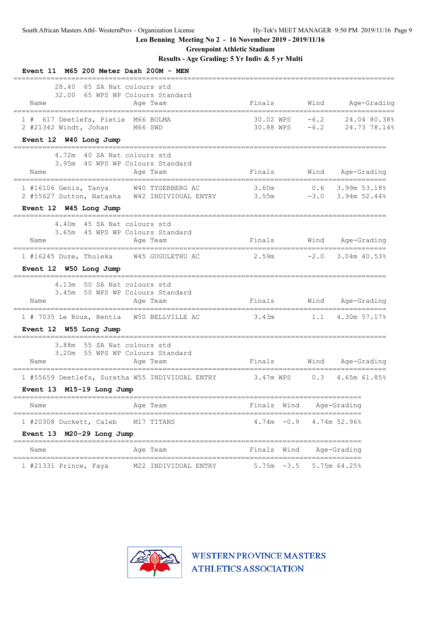**Greenpoint Athletic Stadium**

# **Results - Age Grading: 5 Yr Indiv & 5 yr Multi**

| Event 11 M65 200 Meter Dash 200M - MEN                                                        |                                              |                        |                  |                                    |
|-----------------------------------------------------------------------------------------------|----------------------------------------------|------------------------|------------------|------------------------------------|
| 28.40 65 SA Nat colours std<br>Name                                                           | 32.00 65 WPS WP Colours Standard<br>Age Team | Finals                 | Wind             | Age-Grading                        |
| 1 # 617 Deetlefs, Pietie M66 BOLMA<br>2 #21342 Windt, Johan M66 SWD<br>Event 12 W40 Long Jump |                                              | 30.02 WPS<br>30.88 WPS | $-6.2$<br>$-6.2$ | 24.04 80.38%<br>24.73 78.14%       |
|                                                                                               |                                              |                        |                  |                                    |
| 4.72m 40 SA Nat colours std<br>Name                                                           | 3.95m 40 WPS WP Colours Standard<br>Age Team | Finals                 | Wind             | Age-Grading                        |
| 1 #16106 Genis, Tanya W40 TYGERBERG AC                                                        |                                              | 3.60m                  | $-3.0$           | $0.6$ 3.99m 53.18%<br>3.94m 52.44% |
| Event 12 W45 Long Jump<br>--------------------------                                          |                                              |                        |                  |                                    |
| 4.40m 45 SA Nat colours std<br>Name                                                           | 3.65m 45 WPS WP Colours Standard<br>Age Team | Finals                 |                  | Wind Age-Grading                   |
| 1 #16245 Duze, Thuleka<br>Event 12 W50 Long Jump                                              | W45 GUGULETHU AC                             | 2.59m                  | $-2.0$           | $3.04m$ 40.53%                     |
| 4.13m 50 SA Nat colours std                                                                   | 3.45m 50 WPS WP Colours Standard             |                        |                  |                                    |
| Name<br>=====================================                                                 | Age Team                                     | Finals                 |                  | Wind Age-Grading                   |
| 1 # 7035 Le Roux, Rentia W50 BELLVILLE AC                                                     |                                              | 3.43m                  |                  | $1.1$ 4.30m 57.17%                 |
| Event 12 W55 Long Jump                                                                        |                                              |                        |                  |                                    |
| 3.88m 55 SA Nat colours std<br>Name                                                           | 3.20m 55 WPS WP Colours Standard<br>Age Team | Finals                 |                  | Wind Age-Grading                   |
| 1 #55659 Deetlefs, Suretha W55 INDIVIDUAL ENTRY                                               |                                              | 3.47m WPS              | 0.3              | 4.65m 61.85%                       |
| Event 13 M15-19 Long Jump                                                                     |                                              |                        |                  |                                    |
| Name                                                                                          | Age Team                                     | Finals<br>Wind         |                  | Age-Grading                        |
| ===============================<br>1 #20308 Duckett, Caleb<br>Event 13 M20-29 Long Jump       | ============================<br>M17 TITANS   | $-0.9$<br>4.74m        | ====             | 4.74m 52.96%                       |
| Name                                                                                          | Age Team                                     | Finals<br>Wind         |                  | Age-Grading                        |
| 1 #21331 Prince, Faya                                                                         | M22 INDIVIDUAL ENTRY                         | $-3.5$<br>5.75m        |                  | $5.75m$ 64.25%                     |

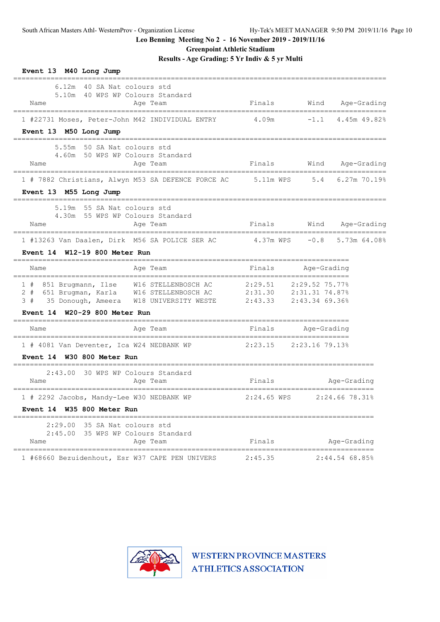**Greenpoint Athletic Stadium**

**Results - Age Grading: 5 Yr Indiv & 5 yr Multi**

| Event 13 M40 Long Jump<br>========<br>________________                                                                                                                                                        |         |                                                  |                     |
|---------------------------------------------------------------------------------------------------------------------------------------------------------------------------------------------------------------|---------|--------------------------------------------------|---------------------|
| 6.12m 40 SA Nat colours std<br>5.10m 40 WPS WP Colours Standard<br>Age Team<br>Name                                                                                                                           | Finals  | Wind                                             | Age-Grading         |
| 1 #22731 Moses, Peter-John M42 INDIVIDUAL ENTRY 4.09m<br>Event 13 M50 Long Jump                                                                                                                               |         |                                                  | $-1.1$ 4.45m 49.82% |
| 5.55m<br>50 SA Nat colours std<br>4.60m 50 WPS WP Colours Standard<br>Name<br>Age Team                                                                                                                        | Finals  |                                                  | Wind Age-Grading    |
| 1 # 7882 Christians, Alwyn M53 SA DEFENCE FORCE AC 5.11m WPS<br>Event 13 M55 Long Jump                                                                                                                        |         |                                                  | 5.4 6.27m 70.19%    |
| 5.19m 55 SA Nat colours std<br>4.30m 55 WPS WP Colours Standard<br>Age Team<br>Name                                                                                                                           | Finals  |                                                  | Wind Age-Grading    |
| 1 #13263 Van Daalen, Dirk M56 SA POLICE SER AC 4.37m WPS<br>W12-19 800 Meter Run<br>Event 14                                                                                                                  |         |                                                  | $-0.8$ 5.73m 64.08% |
| Age Team<br>Name                                                                                                                                                                                              | Finals  | Age-Grading                                      |                     |
| 1 # 851 Brugmann, Ilse W16 STELLENBOSCH AC 2:29.51 2:29.52 75.77%<br>2#<br>651 Brugman, Karla W16 STELLENBOSCH AC<br>3#<br>35 Donough, Ameera W18 UNIVERSITY WESTE<br>W20-29 800 Meter Run<br><b>Event 14</b> |         | 2:31.30 2:31.31 74.87%<br>2:43.33 2:43.34 69.36% |                     |
| Age Team<br>Name                                                                                                                                                                                              | Finals  | Aqe-Grading                                      |                     |
| 1 # 4081 Van Deventer, Ica W24 NEDBANK WP 2:23.15 2:23.16 79.13%<br>Event 14 W30 800 Meter Run                                                                                                                |         |                                                  |                     |
| 2:43.00 30 WPS WP Colours Standard<br>Name<br>Age Team                                                                                                                                                        | Finals  |                                                  | Age-Grading         |
| 1 # 2292 Jacobs, Mandy-Lee W30 NEDBANK WP<br>Event 14 W35 800 Meter Run                                                                                                                                       |         | $2:24.65$ WPS $2:24.66$ 78.31%                   |                     |
| 2:29.00 35 SA Nat colours std<br>2:45.00 35 WPS WP Colours Standard<br>Age Team<br>Name                                                                                                                       | Finals  |                                                  | Age-Grading         |
| 1 #68660 Bezuidenhout, Esr W37 CAPE PEN UNIVERS                                                                                                                                                               | 2:45.35 |                                                  | 2:44.54 68.85%      |

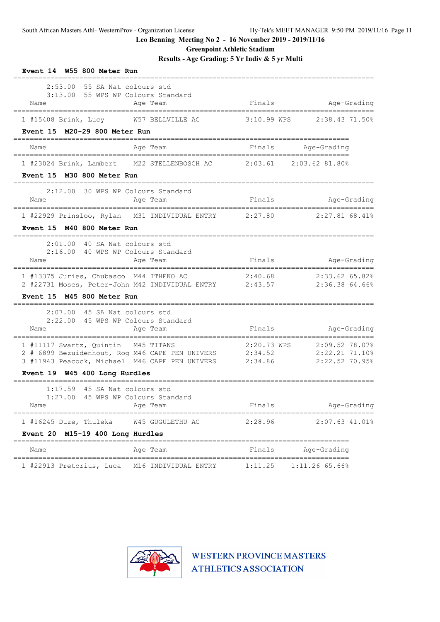**Greenpoint Athletic Stadium**

**Results - Age Grading: 5 Yr Indiv & 5 yr Multi**

| Event 14 W55 800 Meter Run                                                                                                                                               |                                    |                    |                                                                |
|--------------------------------------------------------------------------------------------------------------------------------------------------------------------------|------------------------------------|--------------------|----------------------------------------------------------------|
| 2:53.00 55 SA Nat colours std<br>3:13.00 55 WPS WP Colours Standard<br>Name<br>_____________________________________                                                     | Age Team                           |                    | Finals Mge-Grading                                             |
| 1 #15408 Brink, Lucy W57 BELLVILLE AC                                                                                                                                    |                                    |                    | 3:10.99 WPS 2:38.43 71.50%                                     |
| Event 15 M20-29 800 Meter Run                                                                                                                                            |                                    |                    |                                                                |
| Name                                                                                                                                                                     | Age Team<br>====================== |                    | Finals Age-Grading<br>--------------------                     |
| 1 #23024 Brink, Lambert M22 STELLENBOSCH AC 2:03.61 2:03.62 81.80%                                                                                                       |                                    |                    |                                                                |
| Event 15 M30 800 Meter Run                                                                                                                                               |                                    |                    |                                                                |
| 2:12.00 30 WPS WP Colours Standard<br>Name<br>======================================                                                                                     | Age Team                           |                    | Finals Mage-Grading                                            |
| 1 #22929 Prinsloo, Rylan M31 INDIVIDUAL ENTRY 2:27.80 2:27.81 68.41%                                                                                                     |                                    |                    |                                                                |
| Event 15 M40 800 Meter Run                                                                                                                                               |                                    |                    |                                                                |
| 2:01.00 40 SA Nat colours std<br>2:16.00 40 WPS WP Colours Standard<br>Name                                                                                              | Age Team                           | Finals             | Age-Grading                                                    |
| 1 #13375 Juries, Chubasco M44 ITHEKO AC $2:40.68$ 2:33.62 65.82%<br>2 #22731 Moses, Peter-John M42 INDIVIDUAL ENTRY 2:43.57 2:36.38 64.66%<br>Event 15 M45 800 Meter Run |                                    |                    |                                                                |
| 2:07.00 45 SA Nat colours std<br>2:22.00 45 WPS WP Colours Standard<br>Name                                                                                              | Age Team                           | Finals             | Age-Grading                                                    |
| 1 #11117 Swartz, Quintin M45 TITANS<br>2 # 6899 Bezuidenhout, Rog M46 CAPE PEN UNIVERS<br>3 #11943 Peacock, Michael M46 CAPE PEN UNIVERS                                 |                                    | 2:34.52<br>2:34.86 | 2:20.73 WPS 2:09.52 78.07%<br>2:22.21 71.10%<br>2:22.52 70.95% |
| Event 19 W45 400 Long Hurdles<br>=================================                                                                                                       |                                    |                    |                                                                |
| 45 SA Nat colours std<br>1:17.59<br>1:27.00 45 WPS WP Colours Standard<br>Name                                                                                           | Age Team                           | Finals             | Age-Grading                                                    |
| ===============================<br>1 #16245 Duze, Thuleka                                                                                                                | W45 GUGULETHU AC                   | 2:28.96            | $2:07.63$ 41.01%                                               |
| M15-19 400 Long Hurdles<br>Event 20                                                                                                                                      |                                    |                    |                                                                |
| Name<br>================================                                                                                                                                 | Age Team                           | Finals             | Age-Grading                                                    |
| 1 #22913 Pretorius, Luca                                                                                                                                                 | M16 INDIVIDUAL ENTRY               | 1:11.25            | $1:11.26$ 65.66%                                               |

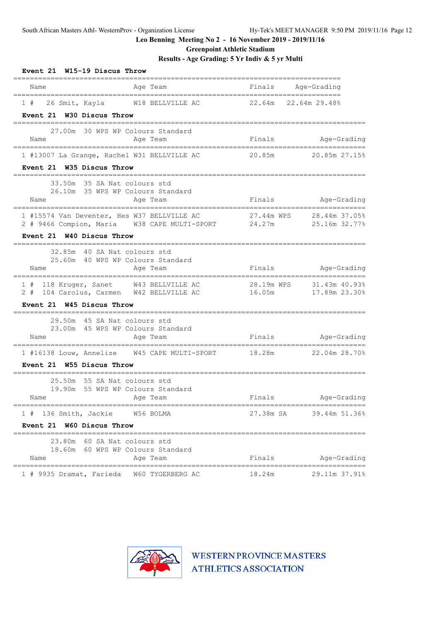**Greenpoint Athletic Stadium**

**Results - Age Grading: 5 Yr Indiv & 5 yr Multi**

| Event 21 W15-19 Discus Throw                                                                                       |          |        |                                           |
|--------------------------------------------------------------------------------------------------------------------|----------|--------|-------------------------------------------|
| Name                                                                                                               | Age Team | Finals | Age-Grading                               |
| 1 # 26 Smit, Kayla M18 BELLVILLE AC 22.64m 22.64m 29.48%<br>Event 21 W30 Discus Throw                              |          |        |                                           |
|                                                                                                                    |          |        |                                           |
| 27.00m 30 WPS WP Colours Standard<br>Name                                                                          | Age Team |        | Finals Age-Grading                        |
| 1 #13007 La Grange, Rachel W31 BELLVILLE AC                                                                        |          |        | 20.85m 20.85m 27.15%                      |
| Event 21 W35 Discus Throw                                                                                          |          |        |                                           |
| 33.50m 35 SA Nat colours std<br>26.10m 35 WPS WP Colours Standard                                                  |          |        |                                           |
| Name                                                                                                               | Age Team |        | Finals Age-Grading                        |
| 1 #15574 Van Deventer, Hes W37 BELLVILLE AC<br>2 # 9466 Compion, Maria W38 CAPE MULTI-SPORT 24.27m                 |          |        | 27.44m WPS 28.44m 37.05%<br>25.16m 32.77% |
| Event 21 W40 Discus Throw                                                                                          |          |        |                                           |
| 32.85m 40 SA Nat colours std<br>25.60m 40 WPS WP Colours Standard                                                  |          |        |                                           |
| Name                                                                                                               | Age Team |        | Finals Mage-Grading                       |
| 1 # 118 Kruger, Sanet W43 BELLVILLE AC 28.19m WPS 31.43m 40.93%<br>2 # 104 Carolus, Carmen W42 BELLVILLE AC 16.05m |          |        | 17.89m 23.30%                             |
| Event 21 W45 Discus Throw                                                                                          |          |        |                                           |
| 29.50m 45 SA Nat colours std<br>23.00m 45 WPS WP Colours Standard                                                  |          |        |                                           |
| Name                                                                                                               | Age Team |        | Finals Age-Grading                        |
| 1 #16138 Louw, Annelize 6 M45 CAPE MULTI-SPORT 18.28m 22.04m 28.70%                                                |          |        |                                           |
| Event 21 W55 Discus Throw                                                                                          |          |        |                                           |
| 55 SA Nat colours std<br>25.50m<br>19.90m 55 WPS WP Colours Standard                                               |          |        |                                           |
| Name                                                                                                               | Age Team | Finals | Age-Grading                               |
| 1 # 136 Smith, Jackie W56 BOLMA                                                                                    |          |        | 27.38m SA 39.44m 51.36%                   |
| W60 Discus Throw<br>Event 21                                                                                       |          |        |                                           |
| 23.80m 60 SA Nat colours std                                                                                       |          |        |                                           |
| 18.60m 60 WPS WP Colours Standard<br>Name                                                                          | Age Team | Finals | Age-Grading                               |
| ==================================<br>1 # 9935 Dramat, Farieda W60 TYGERBERG AC                                    |          | 18.24m | 29.11m 37.91%                             |

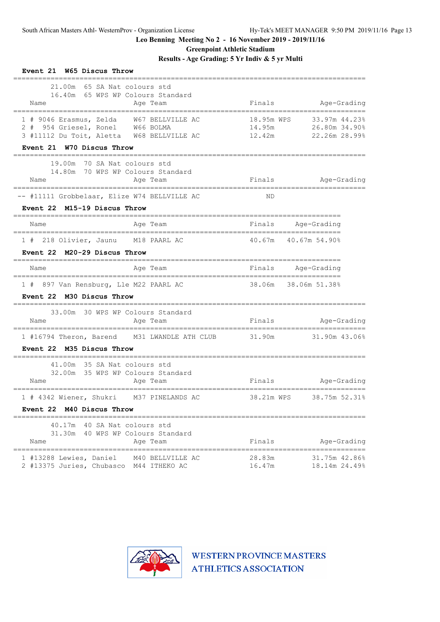**Greenpoint Athletic Stadium**

**Results - Age Grading: 5 Yr Indiv & 5 yr Multi**

| Event 21 W65 Discus Throw<br>-------                                                                                                                   |                      |                                                            |
|--------------------------------------------------------------------------------------------------------------------------------------------------------|----------------------|------------------------------------------------------------|
| 21.00m 65 SA Nat colours std<br>16.40m 65 WPS WP Colours Standard<br>Name<br>Age Team                                                                  | Finals               | Age-Grading                                                |
| 1 # 9046 Erasmus, Zelda W67 BELLVILLE AC<br>2 # 954 Griesel, Ronel W66 BOLMA<br>3 #11112 Du Toit, Aletta W68 BELLVILLE AC<br>Event 21 W70 Discus Throw | 14.95m<br>12.42m     | 18.95m WPS 33.97m 44.23%<br>26.80m 34.90%<br>22.26m 28.99% |
| ______________________________<br>19.00m 70 SA Nat colours std<br>14.80m 70 WPS WP Colours Standard<br>Age Team<br>Name                                | Finals               | Age-Grading                                                |
| -- #11111 Grobbelaar, Elize W74 BELLVILLE AC                                                                                                           | ND                   |                                                            |
| Event 22 M15-19 Discus Throw                                                                                                                           |                      |                                                            |
| Age Team<br>Name                                                                                                                                       | Finals Age-Grading   |                                                            |
| 1 # 218 Olivier, Jaunu M18 PAARL AC                                                                                                                    |                      | 40.67m  40.67m 54.90%                                      |
| Event 22 M20-29 Discus Throw                                                                                                                           |                      |                                                            |
| Age Team<br>Name                                                                                                                                       | Finals Age-Grading   |                                                            |
| 1 # 897 Van Rensburg, Lle M22 PAARL AC<br>Event 22 M30 Discus Throw                                                                                    | 38.06m 38.06m 51.38% |                                                            |
| 33.00m 30 WPS WP Colours Standard<br>Name<br>Age Team                                                                                                  | Finals               | Age-Grading                                                |
| 1 #16794 Theron, Barend M31 LWANDLE ATH CLUB<br>Event 22 M35 Discus Throw<br>=================================                                         | 31.90m               | 31.90m 43.06%                                              |
| 41.00m 35 SA Nat colours std<br>32.00m 35 WPS WP Colours Standard<br>Age Team<br>Name                                                                  | Finals               | Age-Grading                                                |
| =====================================<br>1 # 4342 Wiener, Shukri M37 PINELANDS AC                                                                      |                      | 38.21m WPS 38.75m 52.31%                                   |
| Event 22 M40 Discus Throw                                                                                                                              |                      |                                                            |
| 40.17m 40 SA Nat colours std<br>31.30m 40 WPS WP Colours Standard<br>Age Team<br>Name                                                                  | Finals               | Age-Grading                                                |
| 1 #13288 Lewies, Daniel<br>M40 BELLVILLE AC<br>2 #13375 Juries, Chubasco M44 ITHEKO AC                                                                 | 28.83m<br>16.47m     | 31.75m 42.86%<br>18.14m 24.49%                             |

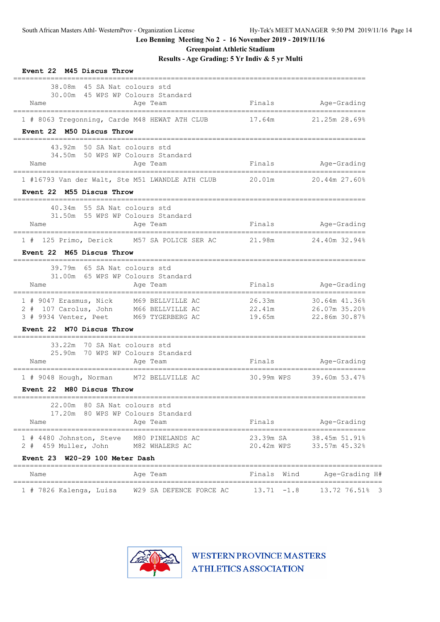**Greenpoint Athletic Stadium**

**Results - Age Grading: 5 Yr Indiv & 5 yr Multi**

| Event 22 M45 Discus Throw                                                                |                                   |                                                     |
|------------------------------------------------------------------------------------------|-----------------------------------|-----------------------------------------------------|
| 38.08m<br>45 SA Nat colours std<br>30.00m 45 WPS WP Colours Standard<br>Name<br>Age Team | Finals                            | Age-Grading                                         |
| 1 # 8063 Tregonning, Carde M48 HEWAT ATH CLUB                                            | 17.64m                            | 21.25m 28.69%                                       |
| Event 22 M50 Discus Throw<br>=========                                                   | ================================= |                                                     |
| 43.92m 50 SA Nat colours std                                                             |                                   |                                                     |
| 34.50m 50 WPS WP Colours Standard<br>Age Team<br>Name                                    | Finals                            | Age-Grading                                         |
| 1 #16793 Van der Walt, Ste M51 LWANDLE ATH CLUB                                          | 20.01m                            | 20.44m 27.60%                                       |
| Event 22 M55 Discus Throw                                                                |                                   |                                                     |
| 40.34m 55 SA Nat colours std                                                             |                                   |                                                     |
| 31.50m 55 WPS WP Colours Standard<br>Name<br>Age Team                                    | Finals                            | Age-Grading                                         |
| 125 Primo, Derick M57 SA POLICE SER AC<br>1#                                             | 21.98m                            | 24.40m 32.94%                                       |
| Event 22 M65 Discus Throw                                                                |                                   |                                                     |
| 39.79m<br>65 SA Nat colours std                                                          |                                   |                                                     |
| 65 WPS WP Colours Standard<br>31.00m                                                     |                                   |                                                     |
| Name<br>Age Team                                                                         | Finals                            | Age-Grading                                         |
| 1 # 9047 Erasmus, Nick<br>M69 BELLVILLE AC                                               | 26.33m                            | 30.64m 41.36%                                       |
| 2 # 107 Carolus, John M66 BELLVILLE AC 22.41m<br>3 # 9934 Venter, Peet M69 TYGERBERG AC  | 19.65m                            | 26.07m 35.20%<br>22.86m 30.87%                      |
| Event 22 M70 Discus Throw                                                                |                                   |                                                     |
| 33.22m<br>70 SA Nat colours std                                                          |                                   |                                                     |
| 70 WPS WP Colours Standard<br>25.90m                                                     |                                   |                                                     |
| Name<br>Age Team                                                                         | Finals                            | Age-Grading                                         |
| 1 # 9048 Hough, Norman M72 BELLVILLE AC                                                  | 30.99m WPS                        | 39.60m 53.47%                                       |
| Event 22 M80 Discus Throw                                                                |                                   |                                                     |
| ==============================<br>22.00m 80 SA Nat colours std                           |                                   |                                                     |
| 17.20m 80 WPS WP Colours Standard<br>Name<br>Age Team                                    | Finals                            | Age-Grading                                         |
|                                                                                          |                                   |                                                     |
| 1 # 4480 Johnston, Steve M80 PINELANDS AC<br>2 # 459 Muller, John<br>M82 WHALERS AC      |                                   | 23.39m SA 38.45m 51.91%<br>20.42m WPS 33.57m 45.32% |
| Event 23 W20-29 100 Meter Dash                                                           |                                   |                                                     |
| Name<br>Age Team                                                                         | Finals Wind                       | Age-Grading H#                                      |
| ===================<br>W29 SA DEFENCE FORCE AC<br>1 # 7826 Kalenga, Luisa                | ----------------<br>$13.71 - 1.8$ | =================<br>13.72 76.51% 3                 |

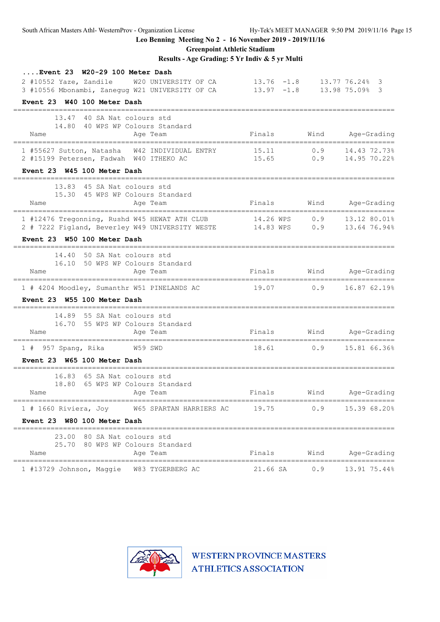**Greenpoint Athletic Stadium**

**Results - Age Grading: 5 Yr Indiv & 5 yr Multi**

| Event 23 W20-29 100 Meter Dash                                                        |               |      |                    |
|---------------------------------------------------------------------------------------|---------------|------|--------------------|
| 2 #10552 Yaze, Zandile W20 UNIVERSITY OF CA                                           | $13.76 - 1.8$ |      | 13.77 76.24% 3     |
| 3 #10556 Mbonambi, Zanegug W21 UNIVERSITY OF CA                                       | $13.97 - 1.8$ |      | 13.98 75.09% 3     |
| Event 23 W40 100 Meter Dash                                                           |               |      |                    |
| 13.47 40 SA Nat colours std                                                           |               |      |                    |
| 14.80 40 WPS WP Colours Standard                                                      |               |      |                    |
| Name<br>Age Team                                                                      | Finals        | Wind | Age-Grading        |
| 1 #55627 Sutton, Natasha W42 INDIVIDUAL ENTRY 15.11                                   |               | 0.9  | 14.43 72.73%       |
| 2 #15199 Petersen, Fadwah W40 ITHEKO AC                                               | 15.65         |      | $0.9$ 14.95 70.22% |
| Event 23 W45 100 Meter Dash                                                           |               |      |                    |
| 13.83 45 SA Nat colours std                                                           |               |      |                    |
| 15.30 45 WPS WP Colours Standard                                                      |               |      |                    |
| Age Team<br>Name                                                                      | Finals        |      | Wind Age-Grading   |
| 1 #12476 Tregonning, Rushd W45 HEWAT ATH CLUB 14.26 WPS 0.9 13.12 80.01%              |               |      |                    |
| 2 # 7222 Figland, Beverley W49 UNIVERSITY WESTE 14.83 WPS 0.9 13.64 76.94%            |               |      |                    |
| Event 23 W50 100 Meter Dash                                                           |               |      |                    |
| =============================<br>14.40 50 SA Nat colours std                          |               |      |                    |
| 16.10 50 WPS WP Colours Standard                                                      |               |      |                    |
| Age Team<br>Name                                                                      | Finals        |      | Wind Age-Grading   |
| 1 # 4204 Moodley, Sumanthr W51 PINELANDS AC                                           | 19.07         | 0.9  | 16.87 62.19%       |
| Event 23 W55 100 Meter Dash                                                           |               |      |                    |
| =====================================<br>14.89 55 SA Nat colours std                  |               |      |                    |
| 16.70 55 WPS WP Colours Standard                                                      |               |      |                    |
| Name<br>Age Team                                                                      | Finals        |      | Wind Age-Grading   |
| 1 # 957 Spang, Rika W59 SWD                                                           | 18.61         |      | $0.9$ 15.81 66.36% |
| Event 23 W65 100 Meter Dash                                                           |               |      |                    |
| ====================================<br>==============<br>16.83 65 SA Nat colours std |               |      |                    |
| 18.80 65 WPS WP Colours Standard                                                      |               |      |                    |
| Name<br>Age Team                                                                      | Finals        |      | Wind Age-Grading   |
| $1$ # 1660 Riviera, Joy<br>W65 SPARTAN HARRIERS AC                                    | 19.75         | 0.9  | 15.39 68.20%       |
| Event 23 W80 100 Meter Dash                                                           |               |      |                    |
| 23.00 80 SA Nat colours std                                                           |               |      |                    |
| 25.70 80 WPS WP Colours Standard                                                      |               |      |                    |
| Age Team<br>Name                                                                      | Finals        | Wind | Age-Grading        |
| 1 #13729 Johnson, Maggie<br>W83 TYGERBERG AC                                          | 21.66 SA      | 0.9  | 13.91 75.44%       |

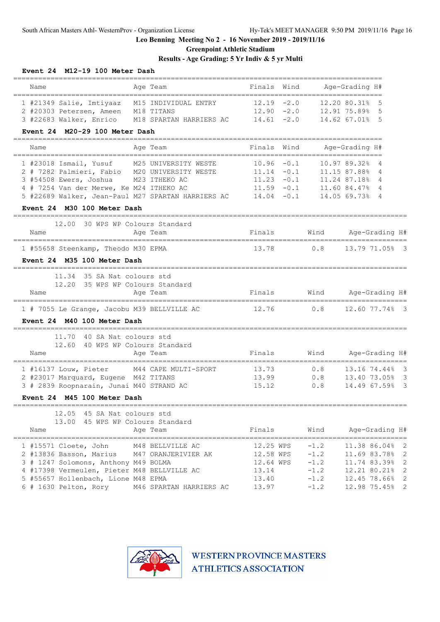**Greenpoint Athletic Stadium**

# **Results - Age Grading: 5 Yr Indiv & 5 yr Multi**

| Event 24 M12-19 100 Meter Dash                                                                                                                                                                                                                                                      |                                                                         |                                                |                                                                                                          |                       |  |
|-------------------------------------------------------------------------------------------------------------------------------------------------------------------------------------------------------------------------------------------------------------------------------------|-------------------------------------------------------------------------|------------------------------------------------|----------------------------------------------------------------------------------------------------------|-----------------------|--|
| =====<br>=====================<br>Name<br>Age Team<br>=====================================                                                                                                                                                                                         | Finals Wind                                                             |                                                | Age-Grading H#                                                                                           |                       |  |
| 1 #21349 Salie, Imtiyaaz M15 INDIVIDUAL ENTRY<br>2 #20303 Petersen, Ameen M18 TITANS<br>3 #22683 Walker, Enrico M18 SPARTAN HARRIERS AC                                                                                                                                             | $12.19 - 2.0$<br>$12.90 - 2.0$<br>$14.61 - 2.0$                         |                                                | 12.20 80.31%<br>12.91 75.89%<br>14.62 67.01%                                                             | .5<br>5<br>5          |  |
| Event 24 M20-29 100 Meter Dash<br>___________________________                                                                                                                                                                                                                       |                                                                         |                                                |                                                                                                          |                       |  |
| Name<br>Age Team<br>=================================                                                                                                                                                                                                                               | Finals Wind<br>==================================                       |                                                | Age-Grading H#                                                                                           |                       |  |
| 1 #23018 Ismail, Yusuf<br>M25 UNIVERSITY WESTE<br>2 # 7282 Palmieri, Fabio M20 UNIVERSITY WESTE<br>3 #54508 Ewers, Joshua M23 ITHEKO AC<br>4 # 7254 Van der Merwe, Ke M24 ITHEKO AC<br>5 #22689 Walker, Jean-Paul M27 SPARTAN HARRIERS AC 14.04 -0.1<br>Event 24 M30 100 Meter Dash | $10.96 - 0.1$<br>$11.14 - 0.1$<br>$11.23 - 0.1$<br>$11.59 - 0.1$        |                                                | 10.97 89.32%<br>11.15 87.88%<br>11.24 87.18%<br>11.60 84.47%<br>14.05 69.73%                             | 4<br>4<br>4<br>4<br>4 |  |
| 12.00 30 WPS WP Colours Standard<br>Name<br>Age Team                                                                                                                                                                                                                                | Finals                                                                  | Wind                                           |                                                                                                          | Age-Grading H#        |  |
| 1 #55658 Steenkamp, Theodo M30 EPMA<br>Event 24 M35 100 Meter Dash                                                                                                                                                                                                                  | 13.78                                                                   | 0.8                                            | 13.79 71.05% 3                                                                                           |                       |  |
| 11.34 35 SA Nat colours std<br>12.20<br>35 WPS WP Colours Standard<br>Name<br>Age Team                                                                                                                                                                                              | Finals                                                                  | Wind                                           |                                                                                                          | Age-Grading H#        |  |
| 1 # 7055 Le Grange, Jacobu M39 BELLVILLE AC                                                                                                                                                                                                                                         | 12.76                                                                   | 0.8                                            | 12.60 77.74% 3                                                                                           |                       |  |
| Event 24 M40 100 Meter Dash                                                                                                                                                                                                                                                         |                                                                         |                                                |                                                                                                          |                       |  |
| 11.70<br>40 SA Nat colours std<br>12.60<br>40 WPS WP Colours Standard<br>Name<br>Age Team                                                                                                                                                                                           | Finals                                                                  | Wind                                           |                                                                                                          | Age-Grading H#        |  |
| M44 CAPE MULTI-SPORT<br>1 #16137 Louw, Pieter<br>2 #23017 Marquard, Eugene M42 TITANS<br>3 # 2839 Roopnarain, Junai M40 STRAND AC<br>Event 24 M45 100 Meter Dash                                                                                                                    | 13.73<br>13.99<br>15.12                                                 | 0.8<br>0.8<br>0.8                              | 13.16 74.44% 3<br>13.40 73.05% 3<br>14.49 67.59% 3                                                       |                       |  |
|                                                                                                                                                                                                                                                                                     |                                                                         |                                                |                                                                                                          |                       |  |
| 12.05 45 SA Nat colours std<br>13.00 45 WPS WP Colours Standard<br>Age Team<br>Name                                                                                                                                                                                                 | Finals                                                                  | Wind                                           |                                                                                                          | Age-Grading H#        |  |
| 1 #15571 Cloete, John M48 BELLVILLE AC<br>2 #13836 Basson, Marius M47 ORANJERIVIER AK<br>3 # 1247 Solomons, Anthony M49 BOLMA<br>4 #17398 Vermeulen, Pieter M48 BELLVILLE AC<br>5 #55657 Hollenbach, Lione M48 EPMA<br>6 # 1630 Pelton, Rory<br>M46 SPARTAN HARRIERS AC             | 12.25 WPS<br>$12.58$ WPS $-1.2$<br>12.64 WPS<br>13.14<br>13.40<br>13.97 | $-1.2$<br>$-1.2$<br>$-1.2$<br>$-1.2$<br>$-1.2$ | 11.38 86.04% 2<br>11.69 83.78% 2<br>11.74 83.39% 2<br>12.21 80.21% 2<br>12.45 78.66% 2<br>12.98 75.45% 2 |                       |  |

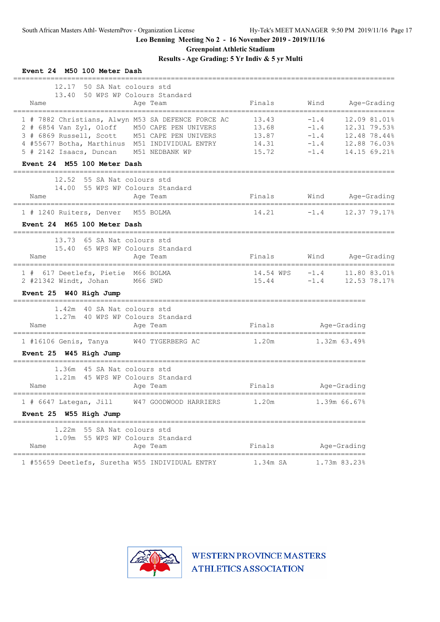**Greenpoint Athletic Stadium**

**Results - Age Grading: 5 Yr Indiv & 5 yr Multi**

| Event 24 M50 100 Meter Dash                                                                                                                                                                                                                       |                                           |                                                |                                                                              |             |
|---------------------------------------------------------------------------------------------------------------------------------------------------------------------------------------------------------------------------------------------------|-------------------------------------------|------------------------------------------------|------------------------------------------------------------------------------|-------------|
| 12.17<br>50 SA Nat colours std<br>50 WPS WP Colours Standard<br>13.40<br>Name<br>Age Team<br>-----------------                                                                                                                                    | Finals                                    | Wind                                           |                                                                              | Age-Grading |
| 1 # 7882 Christians, Alwyn M53 SA DEFENCE FORCE AC<br>2 # 6854 Van Zyl, Oloff M50 CAPE PEN UNIVERS<br>3 # 6869 Russell, Scott M51 CAPE PEN UNIVERS<br>4 #55677 Botha, Marthinus M51 INDIVIDUAL ENTRY<br>5 # 2142 Isaacs, Duncan<br>M51 NEDBANK WP | 13.43<br>13.68<br>13.87<br>14.31<br>15.72 | $-1.4$<br>$-1.4$<br>$-1.4$<br>$-1.4$<br>$-1.4$ | 12.09 81.01%<br>12.31 79.53%<br>12.48 78.44%<br>12.88 76.03%<br>14.15 69.21% |             |
| Event 24 M55 100 Meter Dash                                                                                                                                                                                                                       |                                           |                                                |                                                                              |             |
| 12.52<br>55 SA Nat colours std<br>14.00 55 WPS WP Colours Standard<br>Name<br>Age Team                                                                                                                                                            | Finals                                    |                                                | Wind Age-Grading                                                             |             |
| ===================================<br>1 # 1240 Ruiters, Denver M55 BOLMA                                                                                                                                                                         | $14.21 -1.4$                              |                                                | 12.37 79.17%                                                                 |             |
| Event 24 M65 100 Meter Dash                                                                                                                                                                                                                       |                                           |                                                |                                                                              |             |
| 13.73 65 SA Nat colours std<br>15.40 65 WPS WP Colours Standard<br>Name<br>Age Team                                                                                                                                                               | Finals                                    |                                                | Wind Age-Grading                                                             |             |
| 1 # 617 Deetlefs, Pietie M66 BOLMA<br>2 #21342 Windt, Johan M66 SWD<br>Event 25 W40 High Jump                                                                                                                                                     | $14.54$ WPS $-1.4$<br>15.44               | $-1.4$                                         | 11.80 83.01%<br>12.53 78.17%                                                 |             |
| --------------------<br>1.42m 40 SA Nat colours std<br>1.27m 40 WPS WP Colours Standard<br>Name<br>Age Team                                                                                                                                       | Finals                                    |                                                | Age-Grading                                                                  |             |
| 1 #16106 Genis, Tanya W40 TYGERBERG AC                                                                                                                                                                                                            | 1.20m                                     | ----------------<br>$1.32m$ 63.49%             |                                                                              |             |
| Event 25 W45 High Jump                                                                                                                                                                                                                            |                                           |                                                |                                                                              |             |
| 45 SA Nat colours std<br>1.36m<br>1.21m 45 WPS WP Colours Standard<br>Name<br>Age Team                                                                                                                                                            | Finals                                    | ===================                            | Age-Grading                                                                  |             |
| 1 # 6647 Lategan, Jill<br>W47 GOODWOOD HARRIERS                                                                                                                                                                                                   | 1.20m                                     |                                                | 1.39m 66.67%                                                                 |             |
| Event 25 W55 High Jump                                                                                                                                                                                                                            |                                           |                                                |                                                                              |             |
| 1.22m 55 SA Nat colours std<br>1.09m 55 WPS WP Colours Standard<br>Name<br>Age Team                                                                                                                                                               | Finals                                    |                                                | Age-Grading                                                                  |             |
| 1 #55659 Deetlefs, Suretha W55 INDIVIDUAL ENTRY                                                                                                                                                                                                   | 1.34m SA                                  |                                                | 1.73m 83.23%                                                                 |             |

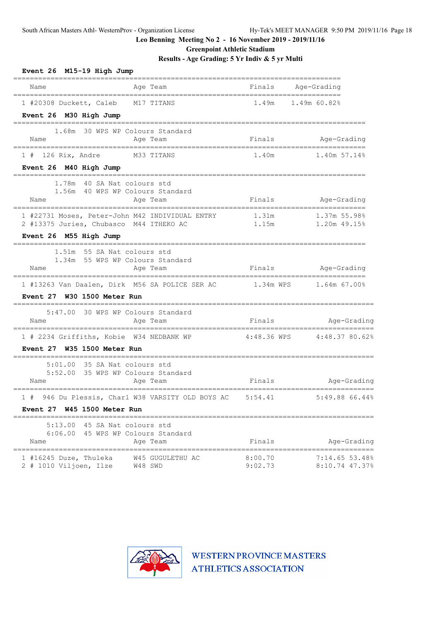**Greenpoint Athletic Stadium**

**Results - Age Grading: 5 Yr Indiv & 5 yr Multi**

| Event 26 M15-19 High Jump                                                                |                                                                         |                    |                                  |
|------------------------------------------------------------------------------------------|-------------------------------------------------------------------------|--------------------|----------------------------------|
| Name                                                                                     | Age Team                                                                | Finals             | Age-Grading                      |
| 1 #20308 Duckett, Caleb M17 TITANS<br>Event 26 M30 High Jump                             |                                                                         |                    | 1.49m 1.49m 60.82%               |
| Name                                                                                     | 1.68m 30 WPS WP Colours Standard<br>Age Team                            | Finals             | Age-Grading                      |
| 1 # 126 Rix, Andre M33 TITANS<br>Event 26 M40 High Jump                                  |                                                                         | 1.40m              | $1.40m$ 57.14%                   |
| 1.78m 40 SA Nat colours std<br>Name                                                      | 1.56m 40 WPS WP Colours Standard<br>Age Team                            | Finals             | Age-Grading                      |
| 2 #13375 Juries, Chubasco M44 ITHEKO AC                                                  | 1 #22731 Moses, Peter-John M42 INDIVIDUAL ENTRY                         | 1.31m<br>1.15m     | 1.37m 55.98%<br>1.20m 49.15%     |
| Event 26 M55 High Jump                                                                   |                                                                         |                    |                                  |
| 1.51m 55 SA Nat colours std<br>Name                                                      | 1.34m 55 WPS WP Colours Standard<br>Age Team                            |                    | Finals Age-Grading               |
|                                                                                          | 1 #13263 Van Daalen, Dirk M56 SA POLICE SER AC 1.34m WPS 1.64m 67.00%   |                    |                                  |
| Event 27 W30 1500 Meter Run                                                              |                                                                         |                    |                                  |
| Name<br>======================================                                           | 5:47.00 30 WPS WP Colours Standard<br>Age Team                          | Finals             | Age-Grading                      |
| 1 # 2234 Griffiths, Kobie W34 NEDBANK WP                                                 |                                                                         |                    | 4:48.36 WPS 4:48.37 80.62%       |
| Event 27 W35 1500 Meter Run                                                              |                                                                         |                    |                                  |
| $5:01.00$ 35 SA Nat colours std<br>Name                                                  | 5:52.00 35 WPS WP Colours Standard<br>Age Team                          | Finals             | Age-Grading                      |
| 1#<br>Event 27 W45 1500 Meter Run                                                        | 946 Du Plessis, Charl W38 VARSITY OLD BOYS AC                           | 5:54.41            | 5:49.88 66.44%                   |
| 5:13.00<br>Name                                                                          | 45 SA Nat colours std<br>6:06.00 45 WPS WP Colours Standard<br>Age Team | Finals             | Age-Grading                      |
| ====================================<br>1 #16245 Duze, Thuleka<br>2 # 1010 Viljoen, Ilze | =====================================<br>W45 GUGULETHU AC<br>W48 SWD    | 8:00.70<br>9:02.73 | 7:14.65 53.48%<br>8:10.74 47.37% |

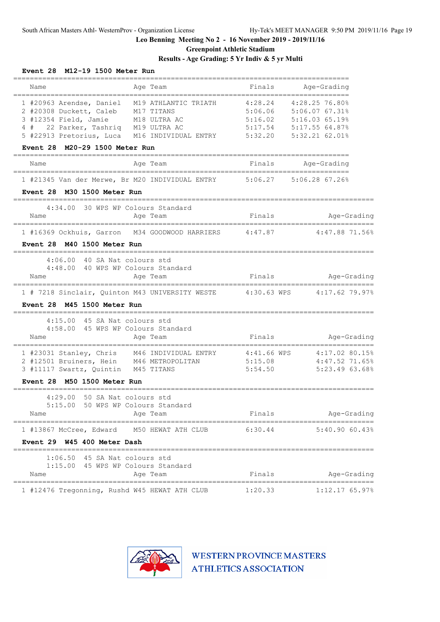**Greenpoint Athletic Stadium**

# **Results - Age Grading: 5 Yr Indiv & 5 yr Multi**

| Event 28 M12-19 1500 Meter Run                                                                                                                                                                      |                        |                                                                                   |
|-----------------------------------------------------------------------------------------------------------------------------------------------------------------------------------------------------|------------------------|-----------------------------------------------------------------------------------|
| Name<br>Age Team                                                                                                                                                                                    | Finals                 | Age-Grading                                                                       |
| 1 #20963 Arendse, Daniel M19 ATHLANTIC TRIATH<br>2 #20308 Duckett, Caleb M17 TITANS<br>3 #12354 Field, Jamie M18 ULTRA AC                                                                           | ===========<br>4:28.24 | ===========<br>4:28.25 76.80%<br>5:06.06 5:06.07 67.31%<br>5:16.02 5:16.03 65.19% |
| 4 # 22 Parker, Tashriq M19 ULTRA AC<br>5 #22913 Pretorius, Luca M16 INDIVIDUAL ENTRY 5:32.20                                                                                                        |                        | $5:17.54$ $5:17.55$ 64.87%<br>5:32.2162.018                                       |
| M20-29 1500 Meter Run<br><b>Event 28</b>                                                                                                                                                            |                        |                                                                                   |
| Age Team<br>Name                                                                                                                                                                                    |                        | Finals Age-Grading                                                                |
| 1 #21345 Van der Merwe, Br M20 INDIVIDUAL ENTRY 5:06.27<br>Event 28 M30 1500 Meter Run                                                                                                              |                        | 5:06.28 67.26%                                                                    |
|                                                                                                                                                                                                     |                        |                                                                                   |
| 4:34.00 30 WPS WP Colours Standard<br>Age Team<br>Name                                                                                                                                              | Finals                 | Age-Grading                                                                       |
| 1 #16369 Ockhuis, Garron M34 GOODWOOD HARRIERS 4:47.87                                                                                                                                              |                        | 4:47.88 71.56%                                                                    |
| Event 28 M40 1500 Meter Run                                                                                                                                                                         |                        |                                                                                   |
| 4:06.00 40 SA Nat colours std                                                                                                                                                                       |                        |                                                                                   |
| 4:48.00 40 WPS WP Colours Standard<br>Age Team<br>Name                                                                                                                                              | Finals                 | Age-Grading                                                                       |
| 1 # 7218 Sinclair, Quinton M43 UNIVERSITY WESTE 4:30.63 WPS 4:17.62 79.97%                                                                                                                          |                        |                                                                                   |
| M45 1500 Meter Run<br><b>Event 28</b>                                                                                                                                                               |                        |                                                                                   |
| 4:15.00 45 SA Nat colours std<br>4:58.00 45 WPS WP Colours Standard<br>Name<br>Age Team                                                                                                             | Finals                 | Age-Grading                                                                       |
| =====================================<br>1 #23031 Stanley, Chris M46 INDIVIDUAL ENTRY 4:41.66 WPS 4:17.02 80.15%<br>2 #12501 Bruiners, Hein M46 METROPOLITAN<br>3 #11117 Swartz, Quintin M45 TITANS | 5:15.08<br>5:54.50     | $4:47.52$ 71.65%<br>5:23.4963.688                                                 |
| Event 28 M50 1500 Meter Run                                                                                                                                                                         |                        |                                                                                   |
| 4:29.00 50 SA Nat colours std<br>5:15.00 50 WPS WP Colours Standard<br>Name<br>Age Team                                                                                                             | Finals                 | Age-Grading                                                                       |
| 1 #13867 McCree, Edward M50 HEWAT ATH CLUB 6:30.44                                                                                                                                                  |                        | 5:40.9060.43%                                                                     |
| Event 29 W45 400 Meter Dash                                                                                                                                                                         |                        |                                                                                   |
| $1:06.50$ 45 SA Nat colours std                                                                                                                                                                     |                        |                                                                                   |
| 1:15.00 45 WPS WP Colours Standard<br>Name<br>Age Team                                                                                                                                              | Finals                 | Age-Grading                                                                       |
| 1 #12476 Tregonning, Rushd W45 HEWAT ATH CLUB                                                                                                                                                       | 1:20.33                | $1:12.17$ 65.97%                                                                  |

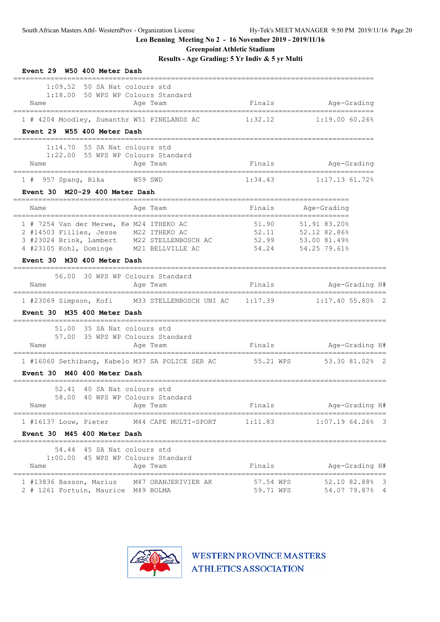**Greenpoint Athletic Stadium**

**Results - Age Grading: 5 Yr Indiv & 5 yr Multi**

| Event 29 W50 400 Meter Dash                                                                                                                                                       |                        |                                                                    |
|-----------------------------------------------------------------------------------------------------------------------------------------------------------------------------------|------------------------|--------------------------------------------------------------------|
| $1:09.52$ 50 SA Nat colours std<br>1:18.00 50 WPS WP Colours Standard<br>Name<br>Age Team<br>=============-----------                                                             | Finals                 | Age-Grading                                                        |
| 1 # 4204 Moodley, Sumanthr W51 PINELANDS AC<br>Event 29 W55 400 Meter Dash                                                                                                        | 1:32.12                | $1:19.00\,$ 60.26%                                                 |
| 55 SA Nat colours std<br>1:14.70<br>1:22.00 55 WPS WP Colours Standard<br>Name<br>Age Team                                                                                        |                        | Finals Mage-Grading                                                |
| 1 # 957 Spang, Rika W59 SWD                                                                                                                                                       | 1:34.43                | $1:17.13$ 61.72%                                                   |
| Event 30 M20-29 400 Meter Dash                                                                                                                                                    |                        | ================                                                   |
| Age Team<br>Name                                                                                                                                                                  | Finals                 | Age-Grading                                                        |
| 1 # 7254 Van der Merwe, Ke M24 ITHEKO AC<br>2 #14503 Fillies, Jesse M22 ITHEKO AC<br>3 #23024 Brink, Lambert M22 STELLENBOSCH AC 52.99<br>4 #23105 Kohl, Dominge M21 BELLVILLE AC | 51.90<br>54.24         | 51.91 83.20%<br>52.11 52.12 82.86%<br>53.00 81.49%<br>54.25 79.61% |
| Event 30 M30 400 Meter Dash                                                                                                                                                       |                        |                                                                    |
| 56.00 30 WPS WP Colours Standard<br>Name<br>Age Team                                                                                                                              | Finals                 | Age-Grading H#<br>===============================                  |
| 1 #23069 Simpson, Kofi M33 STELLENBOSCH UNI AC 1:17.39<br>Event 30 M35 400 Meter Dash                                                                                             |                        | $1:17.40$ 55.80% 2                                                 |
| 51.00 35 SA Nat colours std<br>57.00 35 WPS WP Colours Standard<br>Name<br>Age Team                                                                                               |                        | Finals Mage-Grading H#                                             |
| 1 #16060 Sethibang, Kabelo M37 SA POLICE SER AC 55.21 WPS 53.30 81.02% 2                                                                                                          |                        |                                                                    |
| Event 30 M40 400 Meter Dash                                                                                                                                                       |                        |                                                                    |
| 52.41 40 SA Nat colours std<br>58.00 40 WPS WP Colours Standard<br>Age Team<br>Name                                                                                               | Finals                 | Age-Grading H#                                                     |
| 1 #16137 Louw, Pieter<br>M44 CAPE MULTI-SPORT                                                                                                                                     | 1:11.83                | $1:07.19$ 64.26% 3                                                 |
| Event 30 M45 400 Meter Dash                                                                                                                                                       |                        |                                                                    |
| 54.44 45 SA Nat colours std<br>1:00.00 45 WPS WP Colours Standard<br>Age Team<br>Name                                                                                             | Finals                 | Age-Grading H#                                                     |
| 1 #13836 Basson, Marius M47 ORANJERIVIER AK<br>2 # 1261 Fortuin, Maurice M49 BOLMA                                                                                                | 57.54 WPS<br>59.71 WPS | 52.10 82.88% 3<br>54.07 79.87% 4                                   |

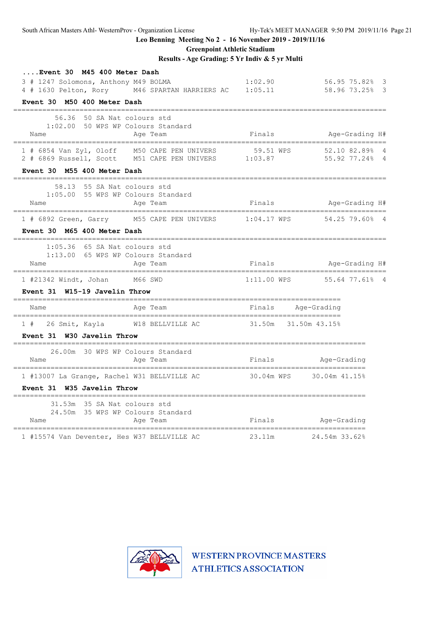**Greenpoint Athletic Stadium**

**Results - Age Grading: 5 Yr Indiv & 5 yr Multi**

| Event 30 M45 400 Meter Dash                                                                                                                  |                    |                                |  |
|----------------------------------------------------------------------------------------------------------------------------------------------|--------------------|--------------------------------|--|
| 3 # 1247 Solomons, Anthony M49 BOLMA<br>1:02.90<br>4 # 1630 Pelton, Rory M46 SPARTAN HARRIERS AC 1:05.11 58.96 73.25% 3                      |                    | $56.9575.82$ $3$               |  |
| Event 30 M50 400 Meter Dash                                                                                                                  |                    |                                |  |
| 56.36 50 SA Nat colours std                                                                                                                  |                    |                                |  |
| 1:02.00 50 WPS WP Colours Standard<br>Name<br>Age Team                                                                                       |                    | Finals Mge-Grading H#          |  |
| 1 # 6854 Van Zyl, Oloff M50 CAPE PEN UNIVERS 59.51 WPS 52.10 82.89% 4<br>2 # 6869 Russell, Scott M51 CAPE PEN UNIVERS 1:03.87 55.92 77.24% 4 |                    |                                |  |
| Event 30 M55 400 Meter Dash                                                                                                                  |                    |                                |  |
| 58.13 55 SA Nat colours std<br>1:05.00 55 WPS WP Colours Standard<br>Name<br>Age Team                                                        |                    | Finals Mage-Grading H#         |  |
| 1 # 6892 Green, Garry M55 CAPE PEN UNIVERS 1:04.17 WPS 54.25 79.60% 4                                                                        |                    |                                |  |
| Event 30 M65 400 Meter Dash                                                                                                                  |                    |                                |  |
| $1:05.36$ 65 SA Nat colours std<br>1:13.00 65 WPS WP Colours Standard<br>Name<br>Age Team                                                    |                    | Finals Mge-Grading H#          |  |
| 1 #21342 Windt, Johan M66 SWD                                                                                                                |                    | $1:11.00$ WPS $55.64$ 77.61% 4 |  |
| Event 31 W15-19 Javelin Throw                                                                                                                |                    |                                |  |
| Name<br>Age Team                                                                                                                             | Finals Age-Grading |                                |  |
| 1 # 26 Smit, Kayla M18 BELLVILLE AC 31.50m 31.50m 43.15%                                                                                     |                    |                                |  |
| Event 31 W30 Javelin Throw                                                                                                                   |                    |                                |  |
| 26.00m 30 WPS WP Colours Standard<br>Name<br>Age Team                                                                                        |                    | Finals Mge-Grading             |  |
| =======================<br>1 #13007 La Grange, Rachel W31 BELLVILLE AC 30.04m WPS 30.04m 41.15%                                              |                    |                                |  |
| Event 31 W35 Javelin Throw                                                                                                                   |                    |                                |  |
| 31.53m 35 SA Nat colours std<br>24.50m 35 WPS WP Colours Standard<br>Name<br>Age Team                                                        | Finals             | Age-Grading                    |  |
| 1 #15574 Van Deventer, Hes W37 BELLVILLE AC                                                                                                  | 23.11m             | 24.54m 33.62%                  |  |

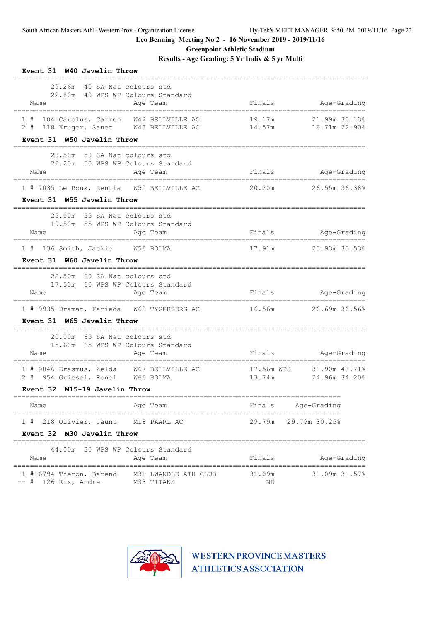**Greenpoint Athletic Stadium**

**Results - Age Grading: 5 Yr Indiv & 5 yr Multi**

| Event 31 W40 Javelin Throw                                                              |                                               |                      |                                |
|-----------------------------------------------------------------------------------------|-----------------------------------------------|----------------------|--------------------------------|
| 29.26m<br>40 SA Nat colours std<br>22.80m 40 WPS WP Colours Standard<br>Name            | Age Team                                      | Finals               | Age-Grading                    |
| 104 Carolus, Carmen W42 BELLVILLE AC<br>1#<br>2 # 118 Kruger, Sanet W43 BELLVILLE AC    |                                               | 19.17m<br>14.57m     | 21.99m 30.13%<br>16.71m 22.90% |
| Event 31 W50 Javelin Throw                                                              |                                               |                      |                                |
| 28.50m 50 SA Nat colours std<br>22.20m 50 WPS WP Colours Standard<br>Name               | Age Team                                      | Finals               | Age-Grading                    |
| 1 # 7035 Le Roux, Rentia W50 BELLVILLE AC                                               |                                               | 20.20m               | 26.55m 36.38%                  |
| Event 31 W55 Javelin Throw                                                              |                                               |                      |                                |
| 25.00m 55 SA Nat colours std<br>19.50m 55 WPS WP Colours Standard<br>Name               | Age Team                                      | Finals               | Age-Grading                    |
| 1 # 136 Smith, Jackie W56 BOLMA                                                         |                                               | 17.91m               | 25.93m 35.53%                  |
| Event 31 W60 Javelin Throw                                                              |                                               |                      |                                |
| 22.50m 60 SA Nat colours std<br>17.50m 60 WPS WP Colours Standard<br>Name               | Age Team                                      |                      | Finals Age-Grading             |
| 1 # 9935 Dramat, Farieda W60 TYGERBERG AC                                               |                                               | 16.56m               | 26.69m 36.56%                  |
| Event 31 W65 Javelin Throw                                                              |                                               |                      |                                |
| 20.00m 65 SA Nat colours std<br>15.60m 65 WPS WP Colours Standard<br>Name               | Age Team                                      | Finals               | Age-Grading                    |
| 1 # 9046 Erasmus, Zelda W67 BELLVILLE AC<br>2 # 954 Griesel, Ronel W66 BOLMA            |                                               | 17.56m WPS<br>13.74m | 31.90m 43.71%<br>24.96m 34.20% |
| Event 32 M15-19 Javelin Throw                                                           |                                               |                      |                                |
| Name                                                                                    | Age Team                                      | Finals               | Age-Grading                    |
| ===============================<br>1 # 218 Olivier, Jaunu<br>Event 32 M30 Javelin Throw | =============================<br>M18 PAARL AC | 29.79m               | 29.79m 30.25%                  |
| 44.00m<br>Name                                                                          | 30 WPS WP Colours Standard<br>Age Team        | Finals               | Age-Grading                    |
| 1 #16794 Theron, Barend<br>$--$ # 126 Rix, Andre                                        | M31 LWANDLE ATH CLUB<br>M33 TITANS            | 31.09m<br>ΝD         | 31.09m 31.57%                  |

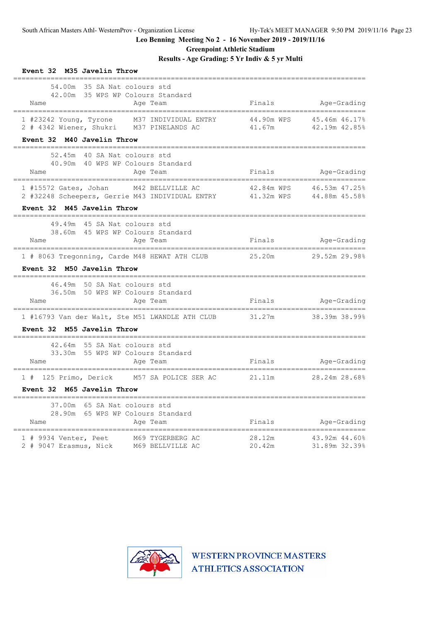**Greenpoint Athletic Stadium**

# **Results - Age Grading: 5 Yr Indiv & 5 yr Multi**

| Event 32 M35 Javelin Throw                                                                                                                       |                                   |                                                 |
|--------------------------------------------------------------------------------------------------------------------------------------------------|-----------------------------------|-------------------------------------------------|
| 54.00m 35 SA Nat colours std<br>42.00m 35 WPS WP Colours Standard<br>Name<br>Age Team<br>-----------------------------------                     |                                   | Finals Age-Grading                              |
| 1 #23242 Young, Tyrone M37 INDIVIDUAL ENTRY 44.90m WPS 45.46m 46.17%<br>2 # 4342 Wiener, Shukri M37 PINELANDS AC                                 | 41.67m                            | 42.19m 42.85%                                   |
| Event 32 M40 Javelin Throw<br>-------------------------------------                                                                              |                                   |                                                 |
| 52.45m 40 SA Nat colours std<br>40.90m 40 WPS WP Colours Standard<br>Name<br>Age Team                                                            | .________________________________ | Finals Age-Grading                              |
| 1 #15572 Gates, Johan M42 BELLVILLE AC<br>2 #32248 Scheepers, Gerrie M43 INDIVIDUAL ENTRY 41.32m WPS 44.88m 45.58%<br>Event 32 M45 Javelin Throw |                                   | 42.84m WPS 46.53m 47.25%                        |
|                                                                                                                                                  |                                   |                                                 |
| 49.49m 45 SA Nat colours std<br>38.60m 45 WPS WP Colours Standard<br>Name<br>Age Team                                                            | Finals                            | Age-Grading                                     |
| 1 # 8063 Tregonning, Carde M48 HEWAT ATH CLUB                                                                                                    | 25.20m                            | 29.52m 29.98%                                   |
| Event 32 M50 Javelin Throw                                                                                                                       |                                   |                                                 |
| 46.49m 50 SA Nat colours std<br>36.50m 50 WPS WP Colours Standard<br>Name<br>Age Team                                                            | Finals                            | Age-Grading                                     |
| 1 #16793 Van der Walt, Ste M51 LWANDLE ATH CLUB 31.27m<br>Event 32 M55 Javelin Throw                                                             |                                   | 38.39m 38.99%                                   |
| 42.64m 55 SA Nat colours std<br>33.30m 55 WPS WP Colours Standard<br>Name<br>Age Team                                                            | Finals Age-Grading                |                                                 |
| 1 # 125 Primo, Derick M57 SA POLICE SER AC 21.11m 28.24m 28.68%<br>Event 32 M65 Javelin Throw                                                    |                                   |                                                 |
| 37.00m 65 SA Nat colours std<br>28.90m 65 WPS WP Colours Standard<br>Name<br>Age Team                                                            |                                   | Finals Age-Grading                              |
| 1 # 9934 Venter, Peet M69 TYGERBERG AC<br>2 # 9047 Erasmus, Nick M69 BELLVILLE AC                                                                | 28.12m<br>20.42m                  | 43.92m 44.60%<br>31 89m 32.300<br>31.89m 32.39% |

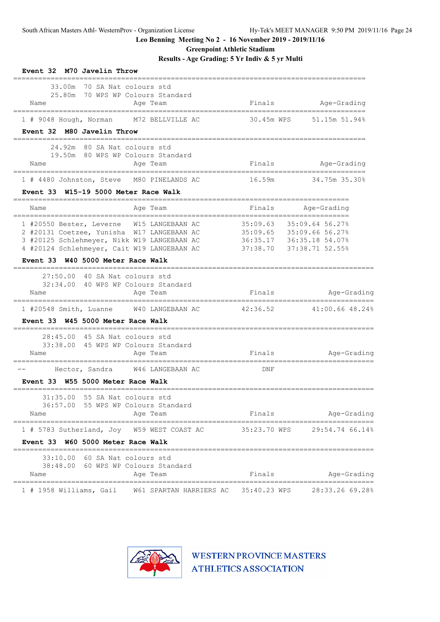**Greenpoint Athletic Stadium**

**Results - Age Grading: 5 Yr Indiv & 5 yr Multi**

| Event 32 M70 Javelin Throw                                                                                                                                                                                                 |              |                                                                                                                    |
|----------------------------------------------------------------------------------------------------------------------------------------------------------------------------------------------------------------------------|--------------|--------------------------------------------------------------------------------------------------------------------|
| 33.00m<br>70 SA Nat colours std<br>25.80m 70 WPS WP Colours Standard<br>Age Team<br>Name                                                                                                                                   | Finals       | Age-Grading                                                                                                        |
| 1 # 9048 Hough, Norman M72 BELLVILLE AC                                                                                                                                                                                    | 30.45m WPS   | 51.15m 51.94%                                                                                                      |
| Event 32 M80 Javelin Throw                                                                                                                                                                                                 |              |                                                                                                                    |
| 24.92m 80 SA Nat colours std<br>19.50m 80 WPS WP Colours Standard                                                                                                                                                          |              |                                                                                                                    |
| Age Team<br>Name                                                                                                                                                                                                           |              | Finals Age-Grading                                                                                                 |
| 1 # 4480 Johnston, Steve M80 PINELANDS AC                                                                                                                                                                                  | 16.59m       | 34.75m 35.30%                                                                                                      |
| Event 33 W15-19 5000 Meter Race Walk                                                                                                                                                                                       |              |                                                                                                                    |
| Age Team<br>Name                                                                                                                                                                                                           | Finals       | Age-Grading                                                                                                        |
| 1 #20550 Bester, Leverne W15 LANGEBAAN AC<br>2 #20131 Coetzee, Yunisha W17 LANGEBAAN AC<br>3 #20125 Schlehmeyer, Nikk W19 LANGEBAAN AC<br>4 #20124 Schlehmeyer, Cait W19 LANGEBAAN AC<br>Event 33 W40 5000 Meter Race Walk |              | 35:09.63 35:09.64 56.27%<br>35:09.65    35:09.66 56.27%<br>36:35.17    36:35.18 54.07%<br>37:38.70 37:38.71 52.55% |
| $27:50.00$ 40 SA Nat colours std<br>32:34.00 40 WPS WP Colours Standard<br>Name<br>Age Team                                                                                                                                | Finals       | Age-Grading                                                                                                        |
| 1 #20548 Smith, Luanne W40 LANGEBAAN AC                                                                                                                                                                                    | 42:36.52     | 41:00.66 48.24%                                                                                                    |
| Event 33 W45 5000 Meter Race Walk                                                                                                                                                                                          |              |                                                                                                                    |
| 45 SA Nat colours std<br>28:45.00<br>33:38.00 45 WPS WP Colours Standard<br>Name<br>Age Team                                                                                                                               |              | Finals Age-Grading                                                                                                 |
| _____________<br>Hector, Sandra W46 LANGEBAAN AC                                                                                                                                                                           | DNF          |                                                                                                                    |
| Event 33 W55 5000 Meter Race Walk                                                                                                                                                                                          |              |                                                                                                                    |
| 55 SA Nat colours std<br>31:35.00<br>36:57.00 55 WPS WP Colours Standard<br>Name<br>Age Team                                                                                                                               | Finals       | Age-Grading                                                                                                        |
| =====================                                                                                                                                                                                                      |              |                                                                                                                    |
| 1 # 5783 Sutherland, Joy W59 WEST COAST AC<br>Event 33 W60 5000 Meter Race Walk                                                                                                                                            | 35:23.70 WPS | 29:54.74 66.14%                                                                                                    |
|                                                                                                                                                                                                                            |              |                                                                                                                    |
| 33:10.00 60 SA Nat colours std<br>38:48.00 60 WPS WP Colours Standard<br>Name<br>Age Team                                                                                                                                  | Finals       | Age-Grading                                                                                                        |
| 1 # 1958 Williams, Gail W61 SPARTAN HARRIERS AC 35:40.23 WPS                                                                                                                                                               |              | 28:33.26 69.28%                                                                                                    |

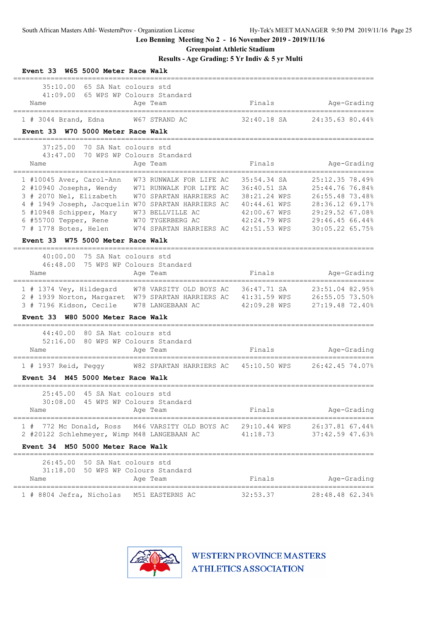**Greenpoint Athletic Stadium**

**Results - Age Grading: 5 Yr Indiv & 5 yr Multi**

| Event 33 W65 5000 Meter Race Walk                                                                                                                                                                                                                                                                                                                                     |                                                                                                            |                                                                                                                                   |
|-----------------------------------------------------------------------------------------------------------------------------------------------------------------------------------------------------------------------------------------------------------------------------------------------------------------------------------------------------------------------|------------------------------------------------------------------------------------------------------------|-----------------------------------------------------------------------------------------------------------------------------------|
| 35:10.00<br>65 SA Nat colours std<br>41:09.00<br>65 WPS WP Colours Standard<br>Age Team<br>Name                                                                                                                                                                                                                                                                       | Finals                                                                                                     | Age-Grading                                                                                                                       |
| 1 # 3044 Brand, Edna<br>W67 STRAND AC                                                                                                                                                                                                                                                                                                                                 | 32:40.18 SA                                                                                                | 24:35.63 80.44%                                                                                                                   |
| Event 33 W70 5000 Meter Race Walk<br>-------------------------------                                                                                                                                                                                                                                                                                                  |                                                                                                            |                                                                                                                                   |
| 37:25.00<br>70 SA Nat colours std<br>70 WPS WP Colours Standard<br>43:47.00<br>Age Team<br>Name                                                                                                                                                                                                                                                                       | Finals                                                                                                     | Age-Grading                                                                                                                       |
| 1 #10045 Aver, Carol-Ann<br>W73 RUNWALK FOR LIFE AC<br>2 #10940 Josephs, Wendy<br>W71 RUNWALK FOR LIFE AC<br>3 # 2070 Nel, Elizabeth<br>W70 SPARTAN HARRIERS AC<br>4 # 1949 Joseph, Jacquelin W70 SPARTAN HARRIERS AC<br>5 #10948 Schipper, Mary<br>W73 BELLVILLE AC<br>6 #55700 Tepper, Rene<br>W70 TYGERBERG AC<br>7 # 1778 Botes, Helen<br>W74 SPARTAN HARRIERS AC | 35:54.34 SA<br>36:40.51 SA<br>38:21.24 WPS<br>40:44.61 WPS<br>42:00.67 WPS<br>42:24.79 WPS<br>42:51.53 WPS | 25:12.35 78.49%<br>25:44.76 76.84%<br>26:55.48 73.48%<br>28:36.12 69.17%<br>29:29.52 67.08%<br>29:46.45 66.44%<br>30:05.22 65.75% |
| Event 33 W75 5000 Meter Race Walk<br>==================                                                                                                                                                                                                                                                                                                               |                                                                                                            |                                                                                                                                   |
| 40:00.00<br>75 SA Nat colours std<br>75 WPS WP Colours Standard<br>46:48.00<br>Name<br>Age Team<br>=====================                                                                                                                                                                                                                                              | Finals                                                                                                     | Age-Grading                                                                                                                       |
| 1 # 1374 Vey, Hildegard W78 VARSITY OLD BOYS AC<br>2 # 1939 Norton, Margaret W79 SPARTAN HARRIERS AC 41:31.59 WPS<br>3 # 7196 Kidson, Cecile W78 LANGEBAAN AC<br>Event 33 W80 5000 Meter Race Walk                                                                                                                                                                    | 36:47.71 SA<br>42:09.28 WPS                                                                                | ===============<br>23:51.04 82.95%<br>26:55.05 73.50%<br>27:19.48 72.40%                                                          |
| 44:40.00<br>80 SA Nat colours std<br>80 WPS WP Colours Standard<br>52:16.00<br>Name<br>Age Team                                                                                                                                                                                                                                                                       | Finals                                                                                                     | Age-Grading                                                                                                                       |
| W82 SPARTAN HARRIERS AC<br>$1$ # 1937 Reid, Peqqy<br>M45 5000 Meter Race Walk<br><b>Event 34</b>                                                                                                                                                                                                                                                                      | 45:10.50 WPS                                                                                               | ----------------------------<br>26:42.45 74.07%                                                                                   |
| ============<br>45 SA Nat colours std<br>25:45.00<br>30:08.00 45 WPS WP Colours Standard<br>Age Team<br>Name                                                                                                                                                                                                                                                          | Finals                                                                                                     | Age-Grading                                                                                                                       |
| 1 # 772 Mc Donald, Ross M46 VARSITY OLD BOYS AC 29:10.44 WPS<br>2 #20122 Schlehmeyer, Wimp M48 LANGEBAAN AC                                                                                                                                                                                                                                                           | 41:18.73                                                                                                   | 26:37.81 67.44%<br>37:42.59 47.63%                                                                                                |
| Event 34 M50 5000 Meter Race Walk                                                                                                                                                                                                                                                                                                                                     |                                                                                                            |                                                                                                                                   |
| 26:45.00 50 SA Nat colours std<br>31:18.00 50 WPS WP Colours Standard<br>Age Team<br>Name                                                                                                                                                                                                                                                                             | Finals                                                                                                     | Age-Grading                                                                                                                       |
| 1 # 8804 Jefra, Nicholas<br>M51 EASTERNS AC                                                                                                                                                                                                                                                                                                                           | 32:53.37                                                                                                   | 28:48.48 62.34%                                                                                                                   |

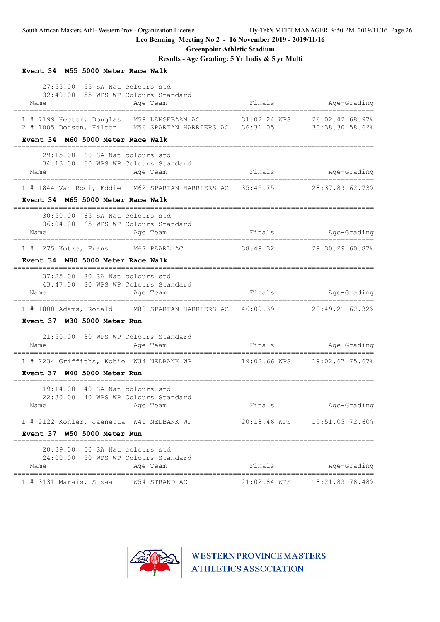**Greenpoint Athletic Stadium**

# **Results - Age Grading: 5 Yr Indiv & 5 yr Multi**

| Event 34 M55 5000 Meter Race Walk                                                                                                          |              |                                    |
|--------------------------------------------------------------------------------------------------------------------------------------------|--------------|------------------------------------|
| 27:55.00<br>55 SA Nat colours std<br>32:40.00 55 WPS WP Colours Standard<br>Age Team<br>Name                                               | Finals       | Age-Grading                        |
| 1 # 7199 Hector, Douglas M59 LANGEBAAN AC<br>2 # 1805 Donson, Hilton M56 SPARTAN HARRIERS AC 36:31.05<br>Event 34 M60 5000 Meter Race Walk | 31:02.24 WPS | 26:02.42 68.97%<br>30:38.30 58.62% |
| 29:15.00 60 SA Nat colours std<br>34:13.00 60 WPS WP Colours Standard<br>Age Team<br>Name                                                  | Finals       | Age-Grading                        |
| 1 # 1844 Van Rooi, Eddie M62 SPARTAN HARRIERS AC 35:45.75<br>Event 34 M65 5000 Meter Race Walk                                             |              | 28:37.89 62.73%                    |
| 30:50.00 65 SA Nat colours std<br>36:04.00 65 WPS WP Colours Standard<br>Age Team<br>Name                                                  | Finals       | Age-Grading                        |
| 1 # 275 Kotze, Frans M67 PAARL AC<br>Event 34 M80 5000 Meter Race Walk                                                                     | 38:49.32     | 29:30.29 60.87%                    |
| 37:25.00<br>80 SA Nat colours std<br>80 WPS WP Colours Standard<br>43:47.00<br>Name<br>Age Team<br>____________________________________    | Finals       | Age-Grading                        |
| 1 # 1800 Adams, Ronald M80 SPARTAN HARRIERS AC 46:09.39 28:49.21 62.32%<br>Event 37 W30 5000 Meter Run                                     |              |                                    |
| 21:50.00<br>30 WPS WP Colours Standard<br>Name<br>Age Team                                                                                 | Finals       | Age-Grading                        |
| =================================<br>1 # 2234 Griffiths, Kobie W34 NEDBANK WP 19:02.66 WPS<br>Event 37 W40 5000 Meter Run                  |              | 19:02.67 75.67%                    |
| --------------------<br>40 SA Nat colours std<br>19:14.00<br>22:30.00 40 WPS WP Colours Standard<br>Age Team<br>Name                       | Finals       | Age-Grading                        |
| 1 # 2122 Kohler, Jaenetta W41 NEDBANK WP                                                                                                   | 20:18.46 WPS | 19:51.05 72.60%                    |
| Event 37 W50 5000 Meter Run                                                                                                                |              |                                    |
| 20:39.00 50 SA Nat colours std<br>24:00.00 50 WPS WP Colours Standard<br>Name<br>Age Team                                                  | Finals       | Age-Grading                        |
| 1 # 3131 Marais, Suzaan W54 STRAND AC                                                                                                      | 21:02.84 WPS | 18:21.83 78.48%                    |

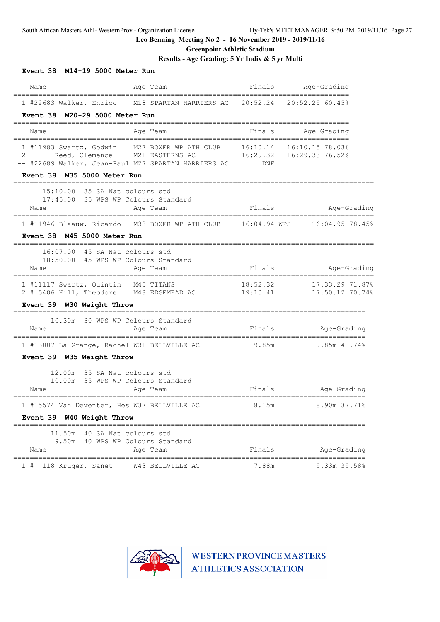**Greenpoint Athletic Stadium**

**Results - Age Grading: 5 Yr Indiv & 5 yr Multi**

| Event 38<br>M14-19 5000 Meter Run<br>--------------------------------                                                           |                                                                                                                                   |          |                                       |
|---------------------------------------------------------------------------------------------------------------------------------|-----------------------------------------------------------------------------------------------------------------------------------|----------|---------------------------------------|
| Name                                                                                                                            | Age Team                                                                                                                          | Finals   | Age-Grading                           |
| ---------------------------------                                                                                               | ------------------<br>1 #22683 Walker, Enrico M18 SPARTAN HARRIERS AC 20:52.24 20:52.25 60.45%                                    |          | ============                          |
| Event 38 M20-29 5000 Meter Run                                                                                                  |                                                                                                                                   |          | -----------------------------------   |
| Name                                                                                                                            | Age Team                                                                                                                          | Finals   | Age-Grading                           |
| ====================================<br>2<br>-- #22689 Walker, Jean-Paul M27 SPARTAN HARRIERS AC<br>Event 38 M35 5000 Meter Run | 1 #11983 Swartz, Godwin M27 BOXER WP ATH CLUB 16:10.14 16:10.15 78.03%<br>Reed, Clemence M21 EASTERNS AC 16:29.32 16:29.33 76.52% | DNF      |                                       |
| 15:10.00<br>17:45.00 35 WPS WP Colours Standard<br>Name                                                                         | ---------------<br>35 SA Nat colours std<br>Age Team                                                                              | Finals   | Age-Grading                           |
| Event 38 M45 5000 Meter Run                                                                                                     | 1 #11946 Blaauw, Ricardo M38 BOXER WP ATH CLUB 16:04.94 WPS 16:04.95 78.45%                                                       |          |                                       |
| 16:07.00 45 SA Nat colours std<br>18:50.00 45 WPS WP Colours Standard<br>Name                                                   | Age Team                                                                                                                          | Finals   | Age-Grading                           |
| 1 #11117 Swartz, Quintin M45 TITANS                                                                                             | 2 # 5406 Hill, Theodore M48 EDGEMEAD AC 19:10.41                                                                                  | 18:52.32 | 17:33.29 71.87%<br>17:50.12 70.74%    |
| Event 39 W30 Weight Throw                                                                                                       |                                                                                                                                   |          |                                       |
| 10.30m 30 WPS WP Colours Standard<br>Name                                                                                       | Age Team                                                                                                                          | Finals   | Age-Grading                           |
| 1 #13007 La Grange, Rachel W31 BELLVILLE AC<br>Event 39 W35 Weight Throw                                                        |                                                                                                                                   | 9.85m    | 9.85m 41.74%                          |
| 12.00m<br>10.00m 35 WPS WP Colours Standard<br>Name                                                                             | 35 SA Nat colours std<br>Age Team<br>--------------------------                                                                   | Finals   | Age-Grading<br>---------------------- |
| 1 #15574 Van Deventer, Hes W37 BELLVILLE AC<br>Event 39 W40 Weight Throw                                                        |                                                                                                                                   | 8.15m    | 8.90m 37.71%                          |
| 11.50m<br>9.50m<br>Name                                                                                                         | 40 SA Nat colours std<br>40 WPS WP Colours Standard<br>Age Team                                                                   | Finals   | Age-Grading                           |
| =======================<br>118 Kruger, Sanet<br>1#                                                                              | W43 BELLVILLE AC                                                                                                                  | 7.88m    | 9.33m 39.58%                          |

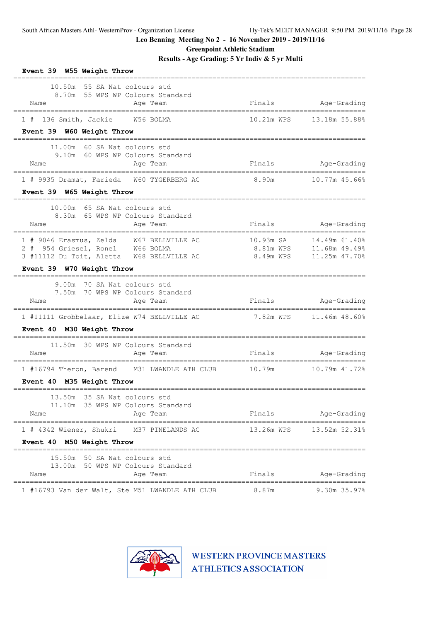**Greenpoint Athletic Stadium**

**Results - Age Grading: 5 Yr Indiv & 5 yr Multi**

| Event 39 W55 Weight Throw                                                                                                       |                     |                                |
|---------------------------------------------------------------------------------------------------------------------------------|---------------------|--------------------------------|
| 10.50m 55 SA Nat colours std<br>8.70m 55 WPS WP Colours Standard<br>Name<br>Age Team                                            | Finals              | Age-Grading                    |
| 1 # 136 Smith, Jackie W56 BOLMA                                                                                                 |                     | 10.21m WPS    13.18m    55.88% |
| Event 39 W60 Weight Throw                                                                                                       |                     |                                |
| 11.00m 60 SA Nat colours std<br>9.10m 60 WPS WP Colours Standard                                                                |                     |                                |
| Name<br>Age Team                                                                                                                |                     | Finals Age-Grading             |
| 1 # 9935 Dramat, Farieda W60 TYGERBERG AC                                                                                       | 8.90m 10.77m 45.66% |                                |
| Event 39 W65 Weight Throw                                                                                                       |                     |                                |
| 10.00m 65 SA Nat colours std                                                                                                    |                     |                                |
| 8.30m 65 WPS WP Colours Standard                                                                                                |                     |                                |
| Age Team<br>Name                                                                                                                | Finals              | Age-Grading                    |
| 1 # 9046 Erasmus, Zelda W67 BELLVILLE AC                                                                                        | 10.93m SA           | 14.49m 61.40%                  |
| 2 # 954 Griesel, Ronel W66 BOLMA                                                                                                |                     | 8.81m WPS 11.68m 49.49%        |
| 3 #11112 Du Toit, Aletta W68 BELLVILLE AC                                                                                       |                     |                                |
| Event 39 W70 Weight Throw<br>----------------------------------                                                                 |                     |                                |
| 9.00m 70 SA Nat colours std                                                                                                     |                     |                                |
| 7.50m 70 WPS WP Colours Standard                                                                                                |                     |                                |
| Name<br>Age Team                                                                                                                |                     | Finals Age-Grading             |
| 1 #11111 Grobbelaar, Elize W74 BELLVILLE AC                                                                                     |                     |                                |
| Event 40 M30 Weight Throw                                                                                                       |                     |                                |
| 11.50m 30 WPS WP Colours Standard                                                                                               |                     |                                |
| Name<br>Age Team                                                                                                                | Finals              | Age-Grading                    |
| ---------------------------------<br>=====================<br>1 #16794 Theron, Barend M31 LWANDLE ATH CLUB 10.79m 10.79m 41.72% |                     |                                |
| Event 40 M35 Weight Throw                                                                                                       |                     |                                |
|                                                                                                                                 |                     |                                |
| 13.50m 35 SA Nat colours std<br>11.10m 35 WPS WP Colours Standard                                                               |                     |                                |
| Age Team<br>Name                                                                                                                | Finals              | Age-Grading                    |
| 1 # 4342 Wiener, Shukri M37 PINELANDS AC                                                                                        |                     |                                |
| Event 40 M50 Weight Throw                                                                                                       |                     |                                |
|                                                                                                                                 |                     |                                |
| 15.50m 50 SA Nat colours std<br>13.00m 50 WPS WP Colours Standard                                                               |                     |                                |
| Name<br>Age Team                                                                                                                | Finals              | Age-Grading                    |
| 1 #16793 Van der Walt, Ste M51 LWANDLE ATH CLUB                                                                                 | 8.87m               | 9.30m 35.97%                   |